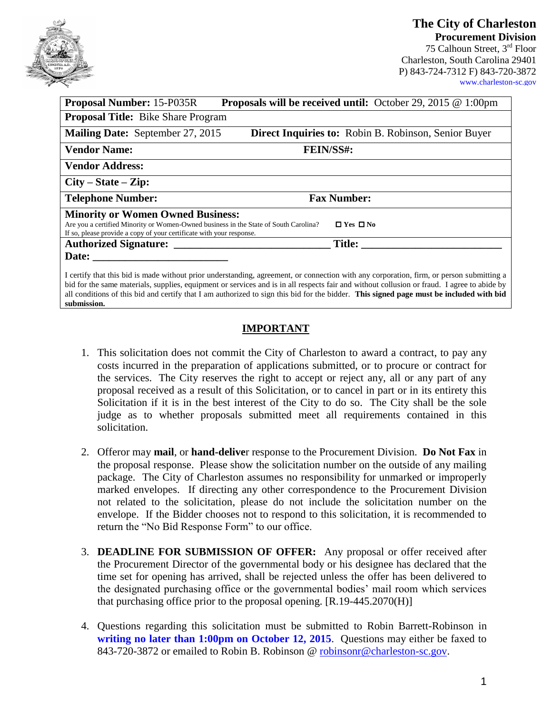**The City of Charleston Procurement Division**

75 Calhoun Street, 3rd Floor Charleston, South Carolina 29401 P) 843-724-7312 F) 843-720-3872 [www.charleston-sc.gov](http://www.charleston-sc.gov/)

| <b>Proposal Number: 15-P035R</b>                                                                                                                             | <b>Proposals will be received until:</b> October 29, 2015 $\&set$ 1:00pm                                                             |  |
|--------------------------------------------------------------------------------------------------------------------------------------------------------------|--------------------------------------------------------------------------------------------------------------------------------------|--|
| <b>Proposal Title:</b> Bike Share Program                                                                                                                    |                                                                                                                                      |  |
| <b>Mailing Date:</b> September 27, 2015                                                                                                                      | <b>Direct Inquiries to:</b> Robin B. Robinson, Senior Buyer                                                                          |  |
| <b>Vendor Name:</b>                                                                                                                                          | <b>FEIN/SS#:</b>                                                                                                                     |  |
| <b>Vendor Address:</b>                                                                                                                                       |                                                                                                                                      |  |
| $City - State - Zip:$                                                                                                                                        |                                                                                                                                      |  |
| <b>Telephone Number:</b>                                                                                                                                     | <b>Fax Number:</b>                                                                                                                   |  |
| <b>Minority or Women Owned Business:</b>                                                                                                                     |                                                                                                                                      |  |
| Are you a certified Minority or Women-Owned business in the State of South Carolina?<br>If so, please provide a copy of your certificate with your response. | $\Box$ Yes $\Box$ No                                                                                                                 |  |
| Authorized Signature:                                                                                                                                        | Title:                                                                                                                               |  |
|                                                                                                                                                              |                                                                                                                                      |  |
|                                                                                                                                                              | I certify that this hid is made without prior understanding agreement or connection with any corneration firm or person submitting a |  |

I certify that this bid is made without prior understanding, agreement, or connection with any corporation, firm, or person submitting a bid for the same materials, supplies, equipment or services and is in all respects fair and without collusion or fraud. I agree to abide by all conditions of this bid and certify that I am authorized to sign this bid for the bidder. **This signed page must be included with bid submission.**

## **IMPORTANT**

- 1. This solicitation does not commit the City of Charleston to award a contract, to pay any costs incurred in the preparation of applications submitted, or to procure or contract for the services. The City reserves the right to accept or reject any, all or any part of any proposal received as a result of this Solicitation, or to cancel in part or in its entirety this Solicitation if it is in the best interest of the City to do so. The City shall be the sole judge as to whether proposals submitted meet all requirements contained in this solicitation.
- 2. Offeror may **mail**, or **hand-delive**r response to the Procurement Division. **Do Not Fax** in the proposal response. Please show the solicitation number on the outside of any mailing package. The City of Charleston assumes no responsibility for unmarked or improperly marked envelopes. If directing any other correspondence to the Procurement Division not related to the solicitation, please do not include the solicitation number on the envelope. If the Bidder chooses not to respond to this solicitation, it is recommended to return the "No Bid Response Form" to our office.
- 3. **DEADLINE FOR SUBMISSION OF OFFER:** Any proposal or offer received after the Procurement Director of the governmental body or his designee has declared that the time set for opening has arrived, shall be rejected unless the offer has been delivered to the designated purchasing office or the governmental bodies' mail room which services that purchasing office prior to the proposal opening. [R.19-445.2070(H)]
- 4. Questions regarding this solicitation must be submitted to Robin Barrett-Robinson in **writing no later than 1:00pm on October 12, 2015**. Questions may either be faxed to 843-720-3872 or emailed to Robin B. Robinson @ [robinsonr@charleston-sc.gov.](mailto:robinsonr@charleston-sc.gov)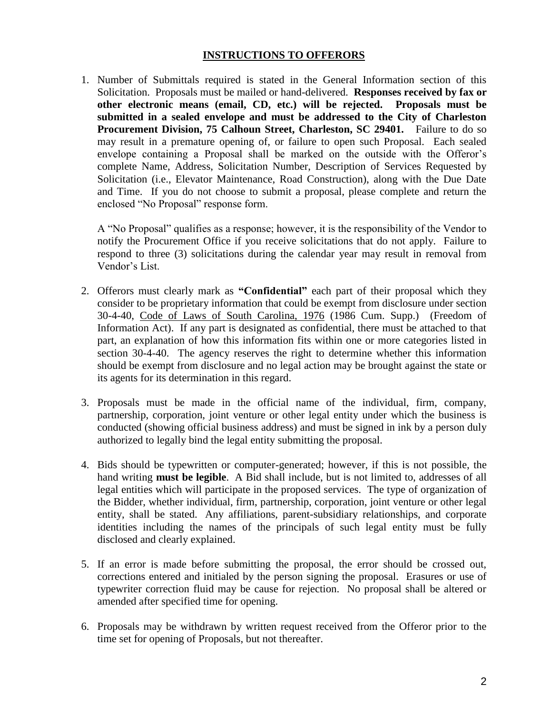## **INSTRUCTIONS TO OFFERORS**

1. Number of Submittals required is stated in the General Information section of this Solicitation. Proposals must be mailed or hand-delivered. **Responses received by fax or other electronic means (email, CD, etc.) will be rejected. Proposals must be submitted in a sealed envelope and must be addressed to the City of Charleston Procurement Division, 75 Calhoun Street, Charleston, SC 29401.** Failure to do so may result in a premature opening of, or failure to open such Proposal. Each sealed envelope containing a Proposal shall be marked on the outside with the Offeror's complete Name, Address, Solicitation Number, Description of Services Requested by Solicitation (i.e., Elevator Maintenance, Road Construction), along with the Due Date and Time. If you do not choose to submit a proposal, please complete and return the enclosed "No Proposal" response form.

A "No Proposal" qualifies as a response; however, it is the responsibility of the Vendor to notify the Procurement Office if you receive solicitations that do not apply. Failure to respond to three (3) solicitations during the calendar year may result in removal from Vendor's List.

- 2. Offerors must clearly mark as **"Confidential"** each part of their proposal which they consider to be proprietary information that could be exempt from disclosure under section 30-4-40, Code of Laws of South Carolina, 1976 (1986 Cum. Supp.) (Freedom of Information Act). If any part is designated as confidential, there must be attached to that part, an explanation of how this information fits within one or more categories listed in section 30-4-40. The agency reserves the right to determine whether this information should be exempt from disclosure and no legal action may be brought against the state or its agents for its determination in this regard.
- 3. Proposals must be made in the official name of the individual, firm, company, partnership, corporation, joint venture or other legal entity under which the business is conducted (showing official business address) and must be signed in ink by a person duly authorized to legally bind the legal entity submitting the proposal.
- 4. Bids should be typewritten or computer-generated; however, if this is not possible, the hand writing **must be legible**. A Bid shall include, but is not limited to, addresses of all legal entities which will participate in the proposed services. The type of organization of the Bidder, whether individual, firm, partnership, corporation, joint venture or other legal entity, shall be stated. Any affiliations, parent-subsidiary relationships, and corporate identities including the names of the principals of such legal entity must be fully disclosed and clearly explained.
- 5. If an error is made before submitting the proposal, the error should be crossed out, corrections entered and initialed by the person signing the proposal. Erasures or use of typewriter correction fluid may be cause for rejection. No proposal shall be altered or amended after specified time for opening.
- 6. Proposals may be withdrawn by written request received from the Offeror prior to the time set for opening of Proposals, but not thereafter.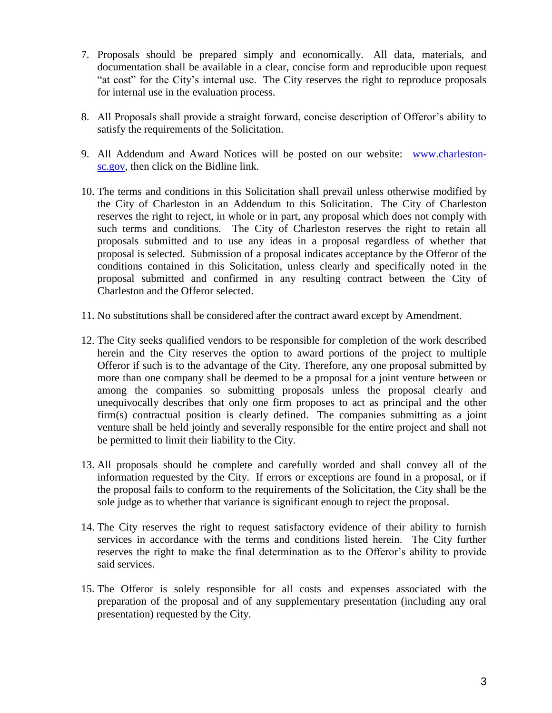- 7. Proposals should be prepared simply and economically. All data, materials, and documentation shall be available in a clear, concise form and reproducible upon request "at cost" for the City's internal use. The City reserves the right to reproduce proposals for internal use in the evaluation process.
- 8. All Proposals shall provide a straight forward, concise description of Offeror's ability to satisfy the requirements of the Solicitation.
- 9. All Addendum and Award Notices will be posted on our website: [www.charleston](http://www.charleston-sc.gov/)[sc.gov,](http://www.charleston-sc.gov/) then click on the Bidline link.
- 10. The terms and conditions in this Solicitation shall prevail unless otherwise modified by the City of Charleston in an Addendum to this Solicitation. The City of Charleston reserves the right to reject, in whole or in part, any proposal which does not comply with such terms and conditions. The City of Charleston reserves the right to retain all proposals submitted and to use any ideas in a proposal regardless of whether that proposal is selected. Submission of a proposal indicates acceptance by the Offeror of the conditions contained in this Solicitation, unless clearly and specifically noted in the proposal submitted and confirmed in any resulting contract between the City of Charleston and the Offeror selected.
- 11. No substitutions shall be considered after the contract award except by Amendment.
- 12. The City seeks qualified vendors to be responsible for completion of the work described herein and the City reserves the option to award portions of the project to multiple Offeror if such is to the advantage of the City. Therefore, any one proposal submitted by more than one company shall be deemed to be a proposal for a joint venture between or among the companies so submitting proposals unless the proposal clearly and unequivocally describes that only one firm proposes to act as principal and the other firm(s) contractual position is clearly defined. The companies submitting as a joint venture shall be held jointly and severally responsible for the entire project and shall not be permitted to limit their liability to the City.
- 13. All proposals should be complete and carefully worded and shall convey all of the information requested by the City. If errors or exceptions are found in a proposal, or if the proposal fails to conform to the requirements of the Solicitation, the City shall be the sole judge as to whether that variance is significant enough to reject the proposal.
- 14. The City reserves the right to request satisfactory evidence of their ability to furnish services in accordance with the terms and conditions listed herein. The City further reserves the right to make the final determination as to the Offeror's ability to provide said services.
- 15. The Offeror is solely responsible for all costs and expenses associated with the preparation of the proposal and of any supplementary presentation (including any oral presentation) requested by the City.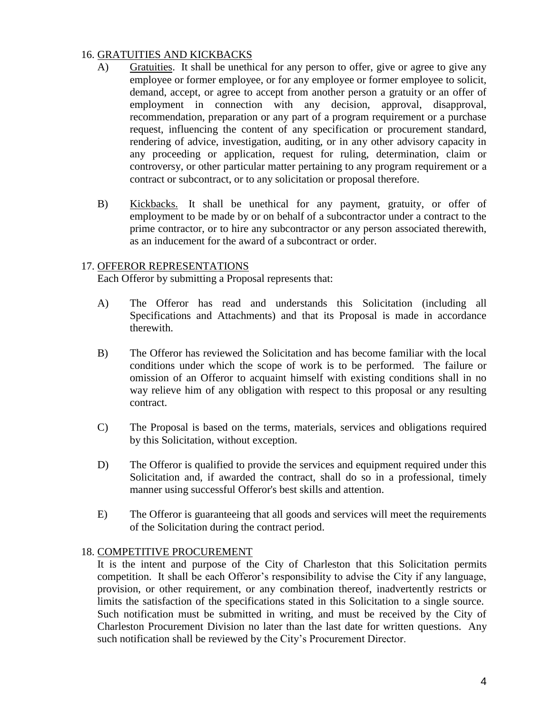## 16. GRATUITIES AND KICKBACKS

- A) Gratuities. It shall be unethical for any person to offer, give or agree to give any employee or former employee, or for any employee or former employee to solicit, demand, accept, or agree to accept from another person a gratuity or an offer of employment in connection with any decision, approval, disapproval, recommendation, preparation or any part of a program requirement or a purchase request, influencing the content of any specification or procurement standard, rendering of advice, investigation, auditing, or in any other advisory capacity in any proceeding or application, request for ruling, determination, claim or controversy, or other particular matter pertaining to any program requirement or a contract or subcontract, or to any solicitation or proposal therefore.
- B) Kickbacks. It shall be unethical for any payment, gratuity, or offer of employment to be made by or on behalf of a subcontractor under a contract to the prime contractor, or to hire any subcontractor or any person associated therewith, as an inducement for the award of a subcontract or order.

## 17. OFFEROR REPRESENTATIONS

Each Offeror by submitting a Proposal represents that:

- A) The Offeror has read and understands this Solicitation (including all Specifications and Attachments) and that its Proposal is made in accordance therewith.
- B) The Offeror has reviewed the Solicitation and has become familiar with the local conditions under which the scope of work is to be performed. The failure or omission of an Offeror to acquaint himself with existing conditions shall in no way relieve him of any obligation with respect to this proposal or any resulting contract.
- C) The Proposal is based on the terms, materials, services and obligations required by this Solicitation, without exception.
- D) The Offeror is qualified to provide the services and equipment required under this Solicitation and, if awarded the contract, shall do so in a professional, timely manner using successful Offeror's best skills and attention.
- E) The Offeror is guaranteeing that all goods and services will meet the requirements of the Solicitation during the contract period.

## 18. COMPETITIVE PROCUREMENT

It is the intent and purpose of the City of Charleston that this Solicitation permits competition. It shall be each Offeror's responsibility to advise the City if any language, provision, or other requirement, or any combination thereof, inadvertently restricts or limits the satisfaction of the specifications stated in this Solicitation to a single source. Such notification must be submitted in writing, and must be received by the City of Charleston Procurement Division no later than the last date for written questions. Any such notification shall be reviewed by the City's Procurement Director.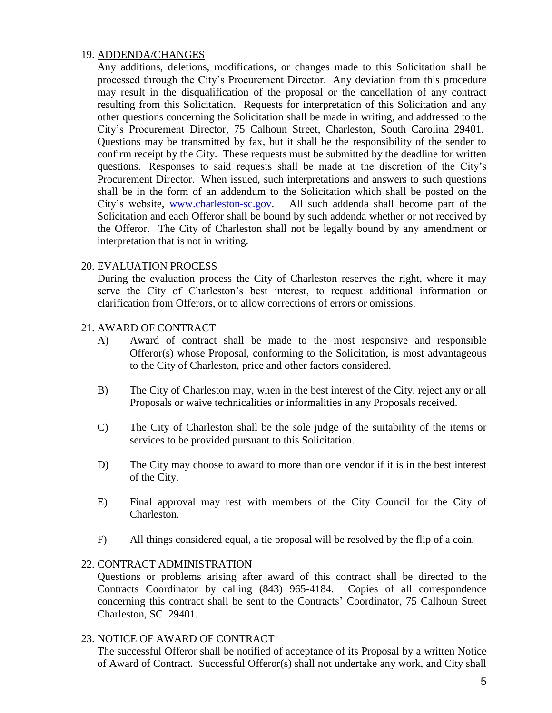## 19. ADDENDA/CHANGES

Any additions, deletions, modifications, or changes made to this Solicitation shall be processed through the City's Procurement Director. Any deviation from this procedure may result in the disqualification of the proposal or the cancellation of any contract resulting from this Solicitation. Requests for interpretation of this Solicitation and any other questions concerning the Solicitation shall be made in writing, and addressed to the City's Procurement Director, 75 Calhoun Street, Charleston, South Carolina 29401. Questions may be transmitted by fax, but it shall be the responsibility of the sender to confirm receipt by the City. These requests must be submitted by the deadline for written questions. Responses to said requests shall be made at the discretion of the City's Procurement Director. When issued, such interpretations and answers to such questions shall be in the form of an addendum to the Solicitation which shall be posted on the City's website, [www.charleston-sc.gov.](http://www.charleston-sc.gov/) All such addenda shall become part of the Solicitation and each Offeror shall be bound by such addenda whether or not received by the Offeror. The City of Charleston shall not be legally bound by any amendment or interpretation that is not in writing.

## 20. EVALUATION PROCESS

During the evaluation process the City of Charleston reserves the right, where it may serve the City of Charleston's best interest, to request additional information or clarification from Offerors, or to allow corrections of errors or omissions.

## 21. AWARD OF CONTRACT

- A) Award of contract shall be made to the most responsive and responsible Offeror(s) whose Proposal, conforming to the Solicitation, is most advantageous to the City of Charleston, price and other factors considered.
- B) The City of Charleston may, when in the best interest of the City, reject any or all Proposals or waive technicalities or informalities in any Proposals received.
- C) The City of Charleston shall be the sole judge of the suitability of the items or services to be provided pursuant to this Solicitation.
- D) The City may choose to award to more than one vendor if it is in the best interest of the City.
- E) Final approval may rest with members of the City Council for the City of Charleston.
- F) All things considered equal, a tie proposal will be resolved by the flip of a coin.

#### 22. CONTRACT ADMINISTRATION

Questions or problems arising after award of this contract shall be directed to the Contracts Coordinator by calling (843) 965-4184. Copies of all correspondence concerning this contract shall be sent to the Contracts' Coordinator, 75 Calhoun Street Charleston, SC 29401.

#### 23. NOTICE OF AWARD OF CONTRACT

The successful Offeror shall be notified of acceptance of its Proposal by a written Notice of Award of Contract. Successful Offeror(s) shall not undertake any work, and City shall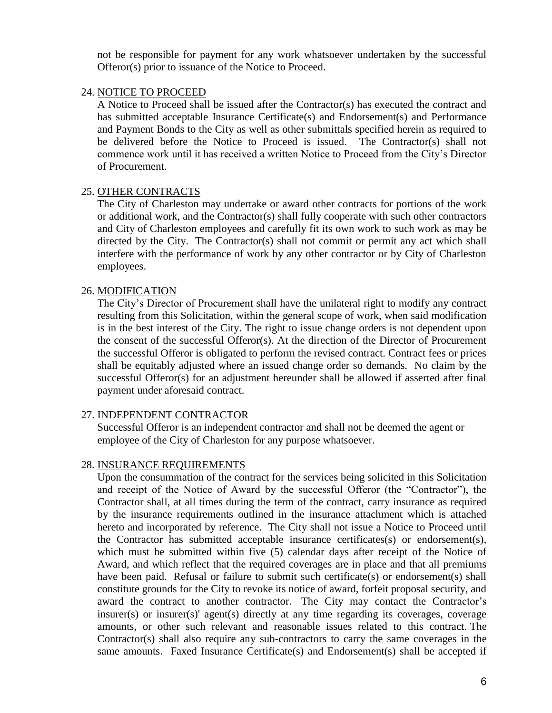not be responsible for payment for any work whatsoever undertaken by the successful Offeror(s) prior to issuance of the Notice to Proceed.

## 24. NOTICE TO PROCEED

A Notice to Proceed shall be issued after the Contractor(s) has executed the contract and has submitted acceptable Insurance Certificate(s) and Endorsement(s) and Performance and Payment Bonds to the City as well as other submittals specified herein as required to be delivered before the Notice to Proceed is issued. The Contractor(s) shall not commence work until it has received a written Notice to Proceed from the City's Director of Procurement.

## 25. OTHER CONTRACTS

The City of Charleston may undertake or award other contracts for portions of the work or additional work, and the Contractor(s) shall fully cooperate with such other contractors and City of Charleston employees and carefully fit its own work to such work as may be directed by the City. The Contractor(s) shall not commit or permit any act which shall interfere with the performance of work by any other contractor or by City of Charleston employees.

## 26. MODIFICATION

The City's Director of Procurement shall have the unilateral right to modify any contract resulting from this Solicitation, within the general scope of work, when said modification is in the best interest of the City. The right to issue change orders is not dependent upon the consent of the successful Offeror(s). At the direction of the Director of Procurement the successful Offeror is obligated to perform the revised contract. Contract fees or prices shall be equitably adjusted where an issued change order so demands. No claim by the successful Offeror(s) for an adjustment hereunder shall be allowed if asserted after final payment under aforesaid contract.

#### 27. INDEPENDENT CONTRACTOR

Successful Offeror is an independent contractor and shall not be deemed the agent or employee of the City of Charleston for any purpose whatsoever.

#### 28. INSURANCE REQUIREMENTS

Upon the consummation of the contract for the services being solicited in this Solicitation and receipt of the Notice of Award by the successful Offeror (the "Contractor"), the Contractor shall, at all times during the term of the contract, carry insurance as required by the insurance requirements outlined in the insurance attachment which is attached hereto and incorporated by reference. The City shall not issue a Notice to Proceed until the Contractor has submitted acceptable insurance certificates(s) or endorsement(s), which must be submitted within five (5) calendar days after receipt of the Notice of Award, and which reflect that the required coverages are in place and that all premiums have been paid. Refusal or failure to submit such certificate(s) or endorsement(s) shall constitute grounds for the City to revoke its notice of award, forfeit proposal security, and award the contract to another contractor. The City may contact the Contractor's insurer(s) or insurer(s)' agent(s) directly at any time regarding its coverages, coverage amounts, or other such relevant and reasonable issues related to this contract. The Contractor(s) shall also require any sub-contractors to carry the same coverages in the same amounts. Faxed Insurance Certificate(s) and Endorsement(s) shall be accepted if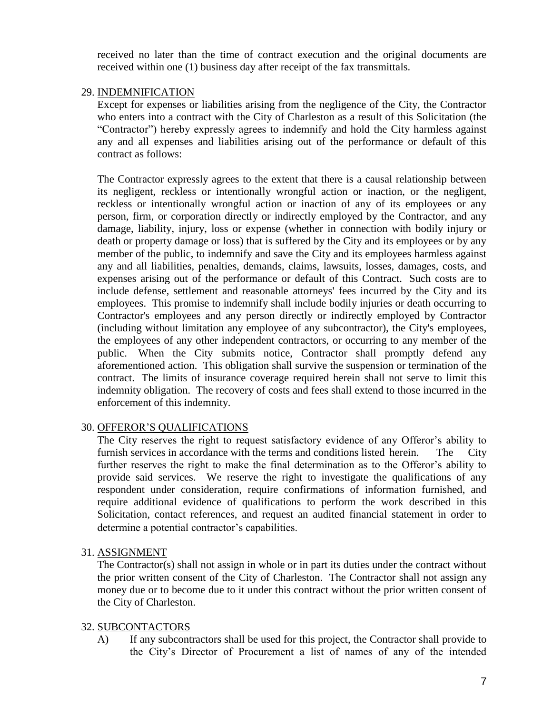received no later than the time of contract execution and the original documents are received within one (1) business day after receipt of the fax transmittals.

## 29. INDEMNIFICATION

Except for expenses or liabilities arising from the negligence of the City, the Contractor who enters into a contract with the City of Charleston as a result of this Solicitation (the "Contractor") hereby expressly agrees to indemnify and hold the City harmless against any and all expenses and liabilities arising out of the performance or default of this contract as follows:

The Contractor expressly agrees to the extent that there is a causal relationship between its negligent, reckless or intentionally wrongful action or inaction, or the negligent, reckless or intentionally wrongful action or inaction of any of its employees or any person, firm, or corporation directly or indirectly employed by the Contractor, and any damage, liability, injury, loss or expense (whether in connection with bodily injury or death or property damage or loss) that is suffered by the City and its employees or by any member of the public, to indemnify and save the City and its employees harmless against any and all liabilities, penalties, demands, claims, lawsuits, losses, damages, costs, and expenses arising out of the performance or default of this Contract. Such costs are to include defense, settlement and reasonable attorneys' fees incurred by the City and its employees. This promise to indemnify shall include bodily injuries or death occurring to Contractor's employees and any person directly or indirectly employed by Contractor (including without limitation any employee of any subcontractor), the City's employees, the employees of any other independent contractors, or occurring to any member of the public. When the City submits notice, Contractor shall promptly defend any aforementioned action. This obligation shall survive the suspension or termination of the contract. The limits of insurance coverage required herein shall not serve to limit this indemnity obligation. The recovery of costs and fees shall extend to those incurred in the enforcement of this indemnity.

## 30. OFFEROR'S QUALIFICATIONS

The City reserves the right to request satisfactory evidence of any Offeror's ability to furnish services in accordance with the terms and conditions listed herein. The City further reserves the right to make the final determination as to the Offeror's ability to provide said services. We reserve the right to investigate the qualifications of any respondent under consideration, require confirmations of information furnished, and require additional evidence of qualifications to perform the work described in this Solicitation, contact references, and request an audited financial statement in order to determine a potential contractor's capabilities.

## 31. ASSIGNMENT

The Contractor(s) shall not assign in whole or in part its duties under the contract without the prior written consent of the City of Charleston. The Contractor shall not assign any money due or to become due to it under this contract without the prior written consent of the City of Charleston.

## 32. SUBCONTACTORS

A) If any subcontractors shall be used for this project, the Contractor shall provide to the City's Director of Procurement a list of names of any of the intended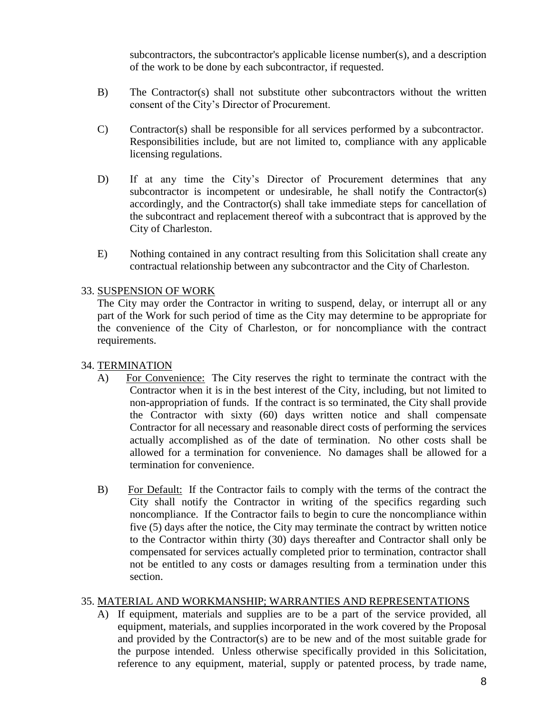subcontractors, the subcontractor's applicable license number(s), and a description of the work to be done by each subcontractor, if requested.

- B) The Contractor(s) shall not substitute other subcontractors without the written consent of the City's Director of Procurement.
- C) Contractor(s) shall be responsible for all services performed by a subcontractor. Responsibilities include, but are not limited to, compliance with any applicable licensing regulations.
- D) If at any time the City's Director of Procurement determines that any subcontractor is incompetent or undesirable, he shall notify the Contractor(s) accordingly, and the Contractor(s) shall take immediate steps for cancellation of the subcontract and replacement thereof with a subcontract that is approved by the City of Charleston.
- E) Nothing contained in any contract resulting from this Solicitation shall create any contractual relationship between any subcontractor and the City of Charleston.

## 33. SUSPENSION OF WORK

The City may order the Contractor in writing to suspend, delay, or interrupt all or any part of the Work for such period of time as the City may determine to be appropriate for the convenience of the City of Charleston, or for noncompliance with the contract requirements.

## 34. TERMINATION

- A) For Convenience: The City reserves the right to terminate the contract with the Contractor when it is in the best interest of the City, including, but not limited to non-appropriation of funds. If the contract is so terminated, the City shall provide the Contractor with sixty (60) days written notice and shall compensate Contractor for all necessary and reasonable direct costs of performing the services actually accomplished as of the date of termination. No other costs shall be allowed for a termination for convenience. No damages shall be allowed for a termination for convenience.
- B) For Default: If the Contractor fails to comply with the terms of the contract the City shall notify the Contractor in writing of the specifics regarding such noncompliance. If the Contractor fails to begin to cure the noncompliance within five (5) days after the notice, the City may terminate the contract by written notice to the Contractor within thirty (30) days thereafter and Contractor shall only be compensated for services actually completed prior to termination, contractor shall not be entitled to any costs or damages resulting from a termination under this section.

## 35. MATERIAL AND WORKMANSHIP; WARRANTIES AND REPRESENTATIONS

A) If equipment, materials and supplies are to be a part of the service provided, all equipment, materials, and supplies incorporated in the work covered by the Proposal and provided by the Contractor(s) are to be new and of the most suitable grade for the purpose intended. Unless otherwise specifically provided in this Solicitation, reference to any equipment, material, supply or patented process, by trade name,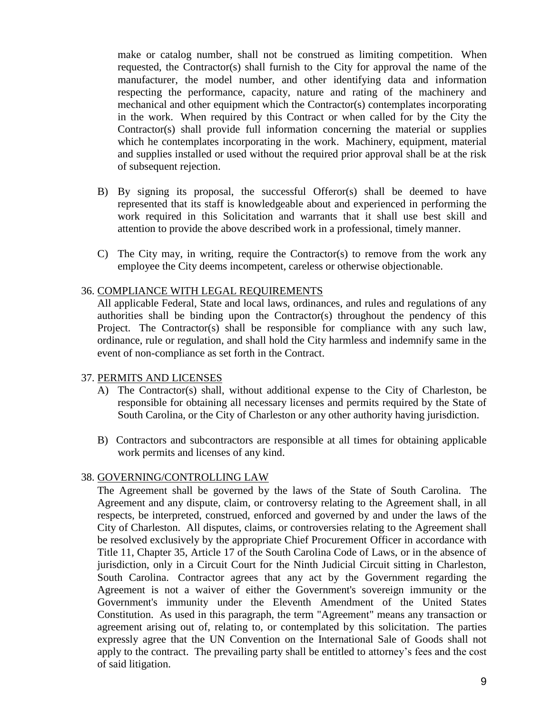make or catalog number, shall not be construed as limiting competition. When requested, the Contractor(s) shall furnish to the City for approval the name of the manufacturer, the model number, and other identifying data and information respecting the performance, capacity, nature and rating of the machinery and mechanical and other equipment which the Contractor(s) contemplates incorporating in the work. When required by this Contract or when called for by the City the Contractor(s) shall provide full information concerning the material or supplies which he contemplates incorporating in the work. Machinery, equipment, material and supplies installed or used without the required prior approval shall be at the risk of subsequent rejection.

- B) By signing its proposal, the successful Offeror(s) shall be deemed to have represented that its staff is knowledgeable about and experienced in performing the work required in this Solicitation and warrants that it shall use best skill and attention to provide the above described work in a professional, timely manner.
- C) The City may, in writing, require the Contractor(s) to remove from the work any employee the City deems incompetent, careless or otherwise objectionable.

#### 36. COMPLIANCE WITH LEGAL REQUIREMENTS

All applicable Federal, State and local laws, ordinances, and rules and regulations of any authorities shall be binding upon the Contractor(s) throughout the pendency of this Project. The Contractor(s) shall be responsible for compliance with any such law, ordinance, rule or regulation, and shall hold the City harmless and indemnify same in the event of non-compliance as set forth in the Contract.

#### 37. PERMITS AND LICENSES

- A) The Contractor(s) shall, without additional expense to the City of Charleston, be responsible for obtaining all necessary licenses and permits required by the State of South Carolina, or the City of Charleston or any other authority having jurisdiction.
- B) Contractors and subcontractors are responsible at all times for obtaining applicable work permits and licenses of any kind.

## 38. GOVERNING/CONTROLLING LAW

The Agreement shall be governed by the laws of the State of South Carolina. The Agreement and any dispute, claim, or controversy relating to the Agreement shall, in all respects, be interpreted, construed, enforced and governed by and under the laws of the City of Charleston. All disputes, claims, or controversies relating to the Agreement shall be resolved exclusively by the appropriate Chief Procurement Officer in accordance with Title 11, Chapter 35, Article 17 of the South Carolina Code of Laws, or in the absence of jurisdiction, only in a Circuit Court for the Ninth Judicial Circuit sitting in Charleston, South Carolina. Contractor agrees that any act by the Government regarding the Agreement is not a waiver of either the Government's sovereign immunity or the Government's immunity under the Eleventh Amendment of the United States Constitution. As used in this paragraph, the term "Agreement" means any transaction or agreement arising out of, relating to, or contemplated by this solicitation. The parties expressly agree that the UN Convention on the International Sale of Goods shall not apply to the contract. The prevailing party shall be entitled to attorney's fees and the cost of said litigation.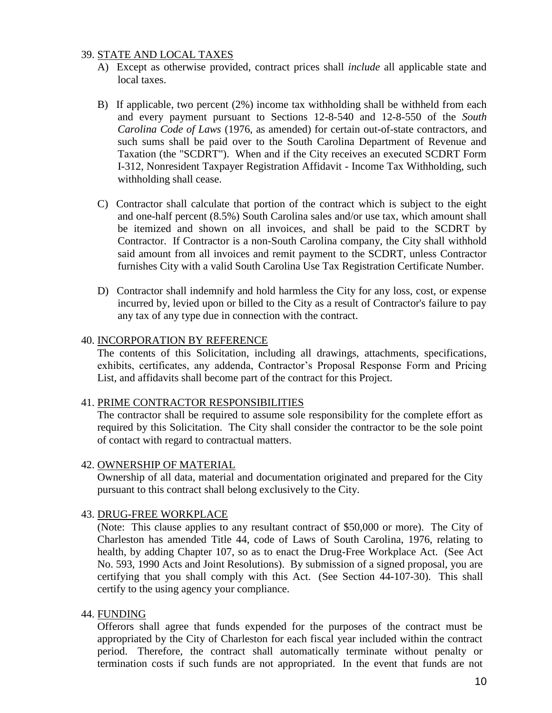## 39. STATE AND LOCAL TAXES

- A) Except as otherwise provided, contract prices shall *include* all applicable state and local taxes.
- B) If applicable, two percent (2%) income tax withholding shall be withheld from each and every payment pursuant to Sections 12-8-540 and 12-8-550 of the *South Carolina Code of Laws* (1976, as amended) for certain out-of-state contractors, and such sums shall be paid over to the South Carolina Department of Revenue and Taxation (the "SCDRT"). When and if the City receives an executed SCDRT Form I-312, Nonresident Taxpayer Registration Affidavit - Income Tax Withholding, such withholding shall cease.
- C) Contractor shall calculate that portion of the contract which is subject to the eight and one-half percent (8.5%) South Carolina sales and/or use tax, which amount shall be itemized and shown on all invoices, and shall be paid to the SCDRT by Contractor. If Contractor is a non-South Carolina company, the City shall withhold said amount from all invoices and remit payment to the SCDRT, unless Contractor furnishes City with a valid South Carolina Use Tax Registration Certificate Number.
- D) Contractor shall indemnify and hold harmless the City for any loss, cost, or expense incurred by, levied upon or billed to the City as a result of Contractor's failure to pay any tax of any type due in connection with the contract.

#### 40. INCORPORATION BY REFERENCE

The contents of this Solicitation, including all drawings, attachments, specifications, exhibits, certificates, any addenda, Contractor's Proposal Response Form and Pricing List, and affidavits shall become part of the contract for this Project.

#### 41. PRIME CONTRACTOR RESPONSIBILITIES

The contractor shall be required to assume sole responsibility for the complete effort as required by this Solicitation. The City shall consider the contractor to be the sole point of contact with regard to contractual matters.

#### 42. OWNERSHIP OF MATERIAL

Ownership of all data, material and documentation originated and prepared for the City pursuant to this contract shall belong exclusively to the City.

#### 43. DRUG-FREE WORKPLACE

(Note: This clause applies to any resultant contract of \$50,000 or more). The City of Charleston has amended Title 44, code of Laws of South Carolina, 1976, relating to health, by adding Chapter 107, so as to enact the Drug-Free Workplace Act. (See Act No. 593, 1990 Acts and Joint Resolutions). By submission of a signed proposal, you are certifying that you shall comply with this Act. (See Section 44-107-30). This shall certify to the using agency your compliance.

#### 44. FUNDING

Offerors shall agree that funds expended for the purposes of the contract must be appropriated by the City of Charleston for each fiscal year included within the contract period. Therefore, the contract shall automatically terminate without penalty or termination costs if such funds are not appropriated. In the event that funds are not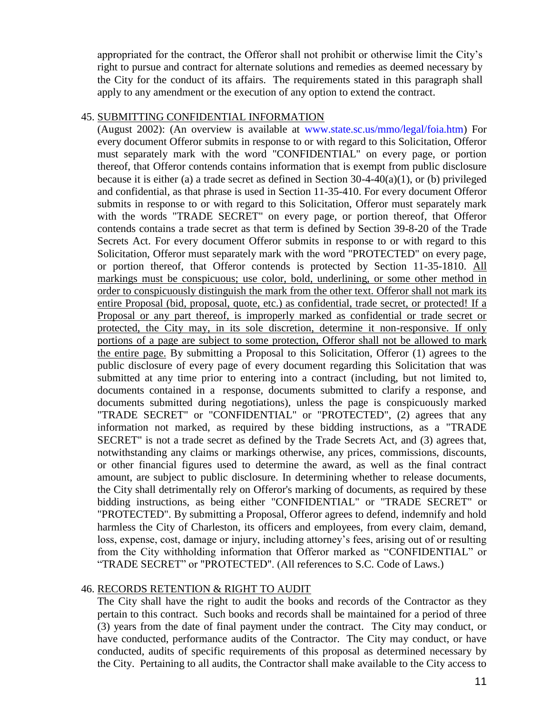appropriated for the contract, the Offeror shall not prohibit or otherwise limit the City's right to pursue and contract for alternate solutions and remedies as deemed necessary by the City for the conduct of its affairs. The requirements stated in this paragraph shall apply to any amendment or the execution of any option to extend the contract.

#### 45. SUBMITTING CONFIDENTIAL INFORMATION

(August 2002): (An overview is available at www.state.sc.us/mmo/legal/foia.htm) For every document Offeror submits in response to or with regard to this Solicitation, Offeror must separately mark with the word "CONFIDENTIAL" on every page, or portion thereof, that Offeror contends contains information that is exempt from public disclosure because it is either (a) a trade secret as defined in Section 30-4-40(a)(1), or (b) privileged and confidential, as that phrase is used in Section 11-35-410. For every document Offeror submits in response to or with regard to this Solicitation, Offeror must separately mark with the words "TRADE SECRET" on every page, or portion thereof, that Offeror contends contains a trade secret as that term is defined by Section 39-8-20 of the Trade Secrets Act. For every document Offeror submits in response to or with regard to this Solicitation, Offeror must separately mark with the word "PROTECTED" on every page, or portion thereof, that Offeror contends is protected by Section 11-35-1810. All markings must be conspicuous; use color, bold, underlining, or some other method in order to conspicuously distinguish the mark from the other text. Offeror shall not mark its entire Proposal (bid, proposal, quote, etc.) as confidential, trade secret, or protected! If a Proposal or any part thereof, is improperly marked as confidential or trade secret or protected, the City may, in its sole discretion, determine it non-responsive. If only portions of a page are subject to some protection, Offeror shall not be allowed to mark the entire page. By submitting a Proposal to this Solicitation, Offeror (1) agrees to the public disclosure of every page of every document regarding this Solicitation that was submitted at any time prior to entering into a contract (including, but not limited to, documents contained in a response, documents submitted to clarify a response, and documents submitted during negotiations), unless the page is conspicuously marked "TRADE SECRET" or "CONFIDENTIAL" or "PROTECTED", (2) agrees that any information not marked, as required by these bidding instructions, as a "TRADE SECRET" is not a trade secret as defined by the Trade Secrets Act, and (3) agrees that, notwithstanding any claims or markings otherwise, any prices, commissions, discounts, or other financial figures used to determine the award, as well as the final contract amount, are subject to public disclosure. In determining whether to release documents, the City shall detrimentally rely on Offeror's marking of documents, as required by these bidding instructions, as being either "CONFIDENTIAL" or "TRADE SECRET" or "PROTECTED". By submitting a Proposal, Offeror agrees to defend, indemnify and hold harmless the City of Charleston, its officers and employees, from every claim, demand, loss, expense, cost, damage or injury, including attorney's fees, arising out of or resulting from the City withholding information that Offeror marked as "CONFIDENTIAL" or "TRADE SECRET" or "PROTECTED". (All references to S.C. Code of Laws.)

#### 46. RECORDS RETENTION & RIGHT TO AUDIT

The City shall have the right to audit the books and records of the Contractor as they pertain to this contract. Such books and records shall be maintained for a period of three (3) years from the date of final payment under the contract. The City may conduct, or have conducted, performance audits of the Contractor. The City may conduct, or have conducted, audits of specific requirements of this proposal as determined necessary by the City. Pertaining to all audits, the Contractor shall make available to the City access to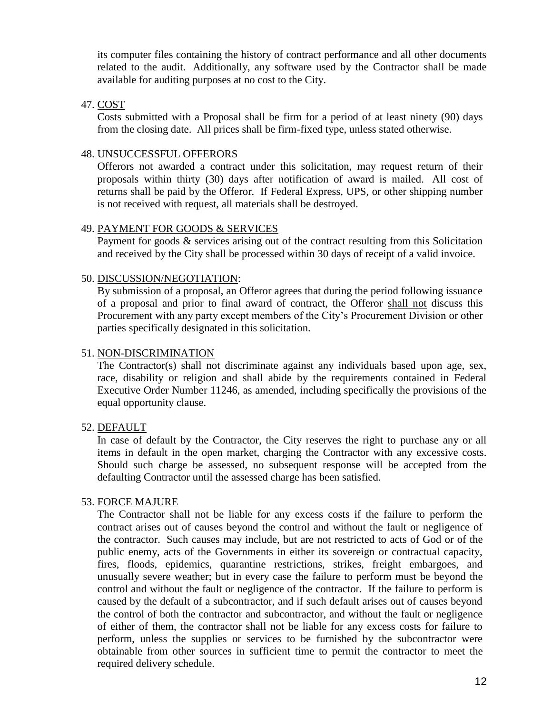its computer files containing the history of contract performance and all other documents related to the audit. Additionally, any software used by the Contractor shall be made available for auditing purposes at no cost to the City.

#### 47. COST

Costs submitted with a Proposal shall be firm for a period of at least ninety (90) days from the closing date. All prices shall be firm-fixed type, unless stated otherwise.

## 48. UNSUCCESSFUL OFFERORS

Offerors not awarded a contract under this solicitation, may request return of their proposals within thirty (30) days after notification of award is mailed. All cost of returns shall be paid by the Offeror. If Federal Express, UPS, or other shipping number is not received with request, all materials shall be destroyed.

#### 49. PAYMENT FOR GOODS & SERVICES

Payment for goods & services arising out of the contract resulting from this Solicitation and received by the City shall be processed within 30 days of receipt of a valid invoice.

#### 50. DISCUSSION/NEGOTIATION:

By submission of a proposal, an Offeror agrees that during the period following issuance of a proposal and prior to final award of contract, the Offeror shall not discuss this Procurement with any party except members of the City's Procurement Division or other parties specifically designated in this solicitation.

#### 51. NON-DISCRIMINATION

The Contractor(s) shall not discriminate against any individuals based upon age, sex, race, disability or religion and shall abide by the requirements contained in Federal Executive Order Number 11246, as amended, including specifically the provisions of the equal opportunity clause.

#### 52. DEFAULT

In case of default by the Contractor, the City reserves the right to purchase any or all items in default in the open market, charging the Contractor with any excessive costs. Should such charge be assessed, no subsequent response will be accepted from the defaulting Contractor until the assessed charge has been satisfied.

#### 53. FORCE MAJURE

The Contractor shall not be liable for any excess costs if the failure to perform the contract arises out of causes beyond the control and without the fault or negligence of the contractor. Such causes may include, but are not restricted to acts of God or of the public enemy, acts of the Governments in either its sovereign or contractual capacity, fires, floods, epidemics, quarantine restrictions, strikes, freight embargoes, and unusually severe weather; but in every case the failure to perform must be beyond the control and without the fault or negligence of the contractor. If the failure to perform is caused by the default of a subcontractor, and if such default arises out of causes beyond the control of both the contractor and subcontractor, and without the fault or negligence of either of them, the contractor shall not be liable for any excess costs for failure to perform, unless the supplies or services to be furnished by the subcontractor were obtainable from other sources in sufficient time to permit the contractor to meet the required delivery schedule.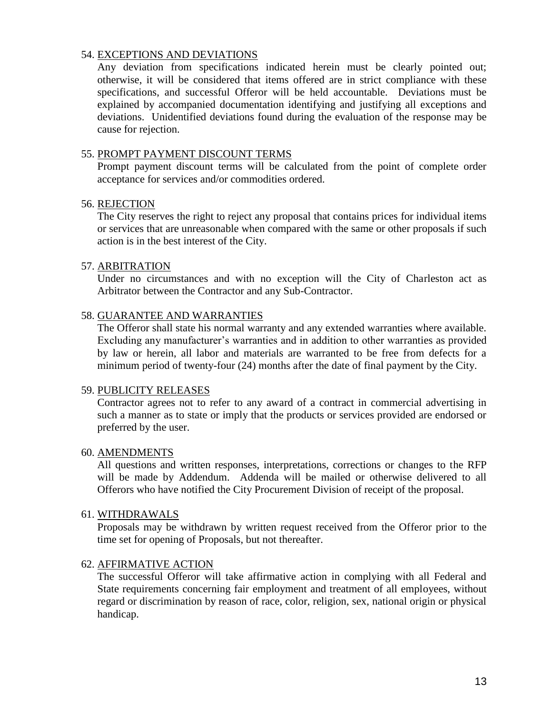## 54. EXCEPTIONS AND DEVIATIONS

Any deviation from specifications indicated herein must be clearly pointed out; otherwise, it will be considered that items offered are in strict compliance with these specifications, and successful Offeror will be held accountable. Deviations must be explained by accompanied documentation identifying and justifying all exceptions and deviations. Unidentified deviations found during the evaluation of the response may be cause for rejection.

#### 55. PROMPT PAYMENT DISCOUNT TERMS

Prompt payment discount terms will be calculated from the point of complete order acceptance for services and/or commodities ordered.

#### 56. REJECTION

The City reserves the right to reject any proposal that contains prices for individual items or services that are unreasonable when compared with the same or other proposals if such action is in the best interest of the City.

#### 57. ARBITRATION

Under no circumstances and with no exception will the City of Charleston act as Arbitrator between the Contractor and any Sub-Contractor.

#### 58. GUARANTEE AND WARRANTIES

The Offeror shall state his normal warranty and any extended warranties where available. Excluding any manufacturer's warranties and in addition to other warranties as provided by law or herein, all labor and materials are warranted to be free from defects for a minimum period of twenty-four (24) months after the date of final payment by the City.

#### 59. PUBLICITY RELEASES

Contractor agrees not to refer to any award of a contract in commercial advertising in such a manner as to state or imply that the products or services provided are endorsed or preferred by the user.

#### 60. AMENDMENTS

All questions and written responses, interpretations, corrections or changes to the RFP will be made by Addendum. Addenda will be mailed or otherwise delivered to all Offerors who have notified the City Procurement Division of receipt of the proposal.

#### 61. WITHDRAWALS

Proposals may be withdrawn by written request received from the Offeror prior to the time set for opening of Proposals, but not thereafter.

#### 62. AFFIRMATIVE ACTION

The successful Offeror will take affirmative action in complying with all Federal and State requirements concerning fair employment and treatment of all employees, without regard or discrimination by reason of race, color, religion, sex, national origin or physical handicap.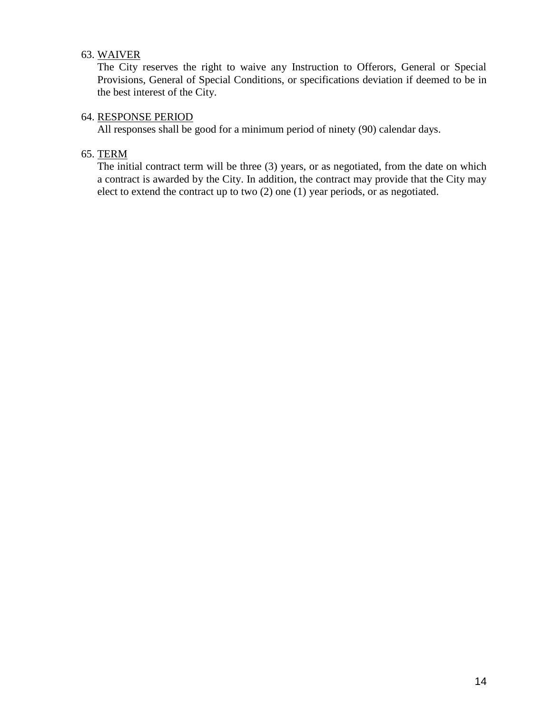## 63. WAIVER

The City reserves the right to waive any Instruction to Offerors, General or Special Provisions, General of Special Conditions, or specifications deviation if deemed to be in the best interest of the City.

## 64. RESPONSE PERIOD

All responses shall be good for a minimum period of ninety (90) calendar days.

## 65. TERM

The initial contract term will be three (3) years, or as negotiated, from the date on which a contract is awarded by the City. In addition, the contract may provide that the City may elect to extend the contract up to two (2) one (1) year periods, or as negotiated.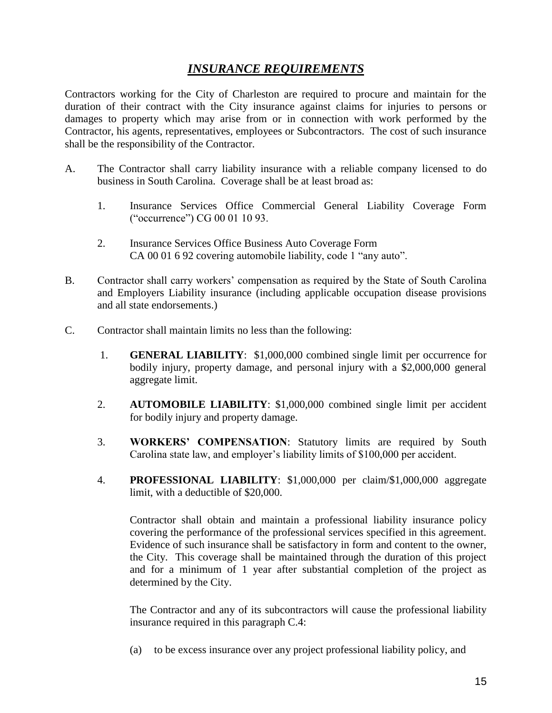## *INSURANCE REQUIREMENTS*

Contractors working for the City of Charleston are required to procure and maintain for the duration of their contract with the City insurance against claims for injuries to persons or damages to property which may arise from or in connection with work performed by the Contractor, his agents, representatives, employees or Subcontractors. The cost of such insurance shall be the responsibility of the Contractor.

- A. The Contractor shall carry liability insurance with a reliable company licensed to do business in South Carolina. Coverage shall be at least broad as:
	- 1. Insurance Services Office Commercial General Liability Coverage Form ("occurrence") CG 00 01 10 93.
	- 2. Insurance Services Office Business Auto Coverage Form CA 00 01 6 92 covering automobile liability, code 1 "any auto".
- B. Contractor shall carry workers' compensation as required by the State of South Carolina and Employers Liability insurance (including applicable occupation disease provisions and all state endorsements.)
- C. Contractor shall maintain limits no less than the following:
	- 1. **GENERAL LIABILITY**: \$1,000,000 combined single limit per occurrence for bodily injury, property damage, and personal injury with a \$2,000,000 general aggregate limit.
	- 2. **AUTOMOBILE LIABILITY**: \$1,000,000 combined single limit per accident for bodily injury and property damage.
	- 3. **WORKERS' COMPENSATION**: Statutory limits are required by South Carolina state law, and employer's liability limits of \$100,000 per accident.
	- 4. **PROFESSIONAL LIABILITY**: \$1,000,000 per claim/\$1,000,000 aggregate limit, with a deductible of \$20,000.

Contractor shall obtain and maintain a professional liability insurance policy covering the performance of the professional services specified in this agreement. Evidence of such insurance shall be satisfactory in form and content to the owner, the City. This coverage shall be maintained through the duration of this project and for a minimum of 1 year after substantial completion of the project as determined by the City.

The Contractor and any of its subcontractors will cause the professional liability insurance required in this paragraph C.4:

(a) to be excess insurance over any project professional liability policy, and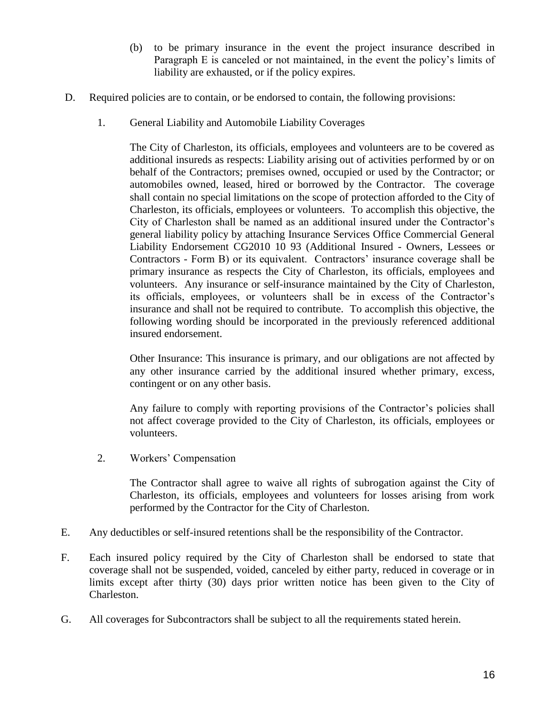- (b) to be primary insurance in the event the project insurance described in Paragraph E is canceled or not maintained, in the event the policy's limits of liability are exhausted, or if the policy expires.
- D. Required policies are to contain, or be endorsed to contain, the following provisions:
	- 1. General Liability and Automobile Liability Coverages

The City of Charleston, its officials, employees and volunteers are to be covered as additional insureds as respects: Liability arising out of activities performed by or on behalf of the Contractors; premises owned, occupied or used by the Contractor; or automobiles owned, leased, hired or borrowed by the Contractor. The coverage shall contain no special limitations on the scope of protection afforded to the City of Charleston, its officials, employees or volunteers. To accomplish this objective, the City of Charleston shall be named as an additional insured under the Contractor's general liability policy by attaching Insurance Services Office Commercial General Liability Endorsement CG2010 10 93 (Additional Insured - Owners, Lessees or Contractors - Form B) or its equivalent. Contractors' insurance coverage shall be primary insurance as respects the City of Charleston, its officials, employees and volunteers. Any insurance or self-insurance maintained by the City of Charleston, its officials, employees, or volunteers shall be in excess of the Contractor's insurance and shall not be required to contribute. To accomplish this objective, the following wording should be incorporated in the previously referenced additional insured endorsement.

Other Insurance: This insurance is primary, and our obligations are not affected by any other insurance carried by the additional insured whether primary, excess, contingent or on any other basis.

Any failure to comply with reporting provisions of the Contractor's policies shall not affect coverage provided to the City of Charleston, its officials, employees or volunteers.

2. Workers' Compensation

The Contractor shall agree to waive all rights of subrogation against the City of Charleston, its officials, employees and volunteers for losses arising from work performed by the Contractor for the City of Charleston.

- E. Any deductibles or self-insured retentions shall be the responsibility of the Contractor.
- F. Each insured policy required by the City of Charleston shall be endorsed to state that coverage shall not be suspended, voided, canceled by either party, reduced in coverage or in limits except after thirty (30) days prior written notice has been given to the City of Charleston.
- G. All coverages for Subcontractors shall be subject to all the requirements stated herein.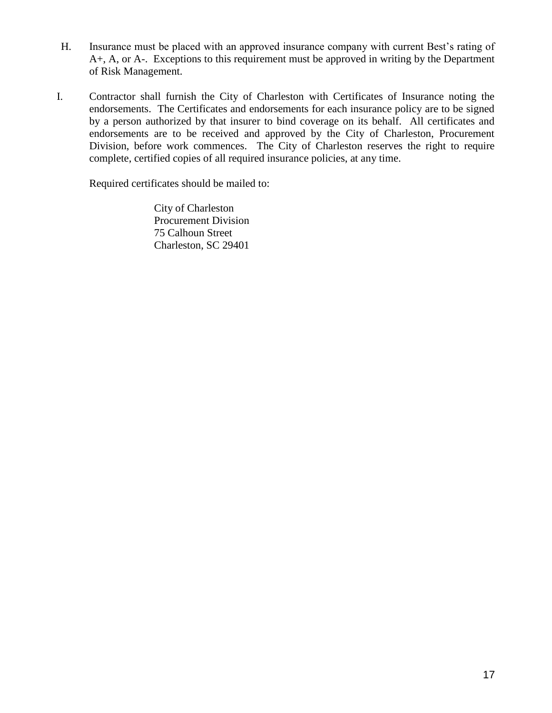- H. Insurance must be placed with an approved insurance company with current Best's rating of A+, A, or A-. Exceptions to this requirement must be approved in writing by the Department of Risk Management.
- I. Contractor shall furnish the City of Charleston with Certificates of Insurance noting the endorsements. The Certificates and endorsements for each insurance policy are to be signed by a person authorized by that insurer to bind coverage on its behalf. All certificates and endorsements are to be received and approved by the City of Charleston, Procurement Division, before work commences. The City of Charleston reserves the right to require complete, certified copies of all required insurance policies, at any time.

Required certificates should be mailed to:

City of Charleston Procurement Division 75 Calhoun Street Charleston, SC 29401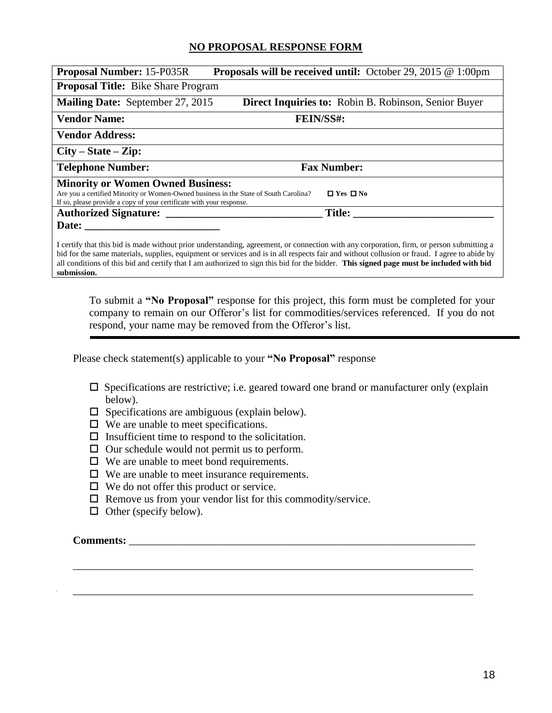## **NO PROPOSAL RESPONSE FORM**

| <b>Proposal Number: 15-P035R</b>                                                                                                                                                                                                 | <b>Proposals will be received until:</b> October 29, 2015 $@1:00 \text{pm}$ |  |  |
|----------------------------------------------------------------------------------------------------------------------------------------------------------------------------------------------------------------------------------|-----------------------------------------------------------------------------|--|--|
| <b>Proposal Title:</b> Bike Share Program                                                                                                                                                                                        |                                                                             |  |  |
| <b>Mailing Date:</b> September 27, 2015                                                                                                                                                                                          | <b>Direct Inquiries to:</b> Robin B. Robinson, Senior Buyer                 |  |  |
| <b>Vendor Name:</b>                                                                                                                                                                                                              | FEIN/SS#:                                                                   |  |  |
| <b>Vendor Address:</b>                                                                                                                                                                                                           |                                                                             |  |  |
| $City - State - Zip:$                                                                                                                                                                                                            |                                                                             |  |  |
| <b>Telephone Number:</b>                                                                                                                                                                                                         | <b>Fax Number:</b>                                                          |  |  |
| <b>Minority or Women Owned Business:</b><br>$\Box$ Yes $\Box$ No<br>Are you a certified Minority or Women-Owned business in the State of South Carolina?<br>If so, please provide a copy of your certificate with your response. |                                                                             |  |  |
| Authorized Signature:                                                                                                                                                                                                            | Title:                                                                      |  |  |
| Date:<br>I certify that this bid is made without prior understanding, agreement, or connection with any corporation, firm, or person submitting a                                                                                |                                                                             |  |  |

bid for the same materials, supplies, equipment or services and is in all respects fair and without collusion or fraud. I agree to abide by all conditions of this bid and certify that I am authorized to sign this bid for the bidder. **This signed page must be included with bid submission.**

To submit a **"No Proposal"** response for this project, this form must be completed for your company to remain on our Offeror's list for commodities/services referenced. If you do not respond, your name may be removed from the Offeror's list.

Please check statement(s) applicable to your **"No Proposal"** response

 $\square$  Specifications are restrictive; i.e. geared toward one brand or manufacturer only (explain below).

\_\_\_\_\_\_\_\_\_\_\_\_\_\_\_\_\_\_\_\_\_\_\_\_\_\_\_\_\_\_\_\_\_\_\_\_\_\_\_\_\_\_\_\_\_\_\_\_\_\_\_\_\_\_\_\_\_\_\_\_\_\_\_\_\_\_\_\_\_\_\_\_\_\_

\_\_\_\_\_\_\_\_\_\_\_\_\_\_\_\_\_\_\_\_\_\_\_\_\_\_\_\_\_\_\_\_\_\_\_\_\_\_\_\_\_\_\_\_\_\_\_\_\_\_\_\_\_\_\_\_\_\_\_\_\_\_\_\_\_\_\_\_\_\_\_\_\_\_

- $\square$  Specifications are ambiguous (explain below).
- $\Box$  We are unable to meet specifications.
- $\Box$  Insufficient time to respond to the solicitation.
- $\Box$  Our schedule would not permit us to perform.
- We are unable to meet bond requirements.
- $\Box$  We are unable to meet insurance requirements.
- $\Box$  We do not offer this product or service.
- $\Box$  Remove us from your vendor list for this commodity/service.
- $\Box$  Other (specify below).

#### Comments: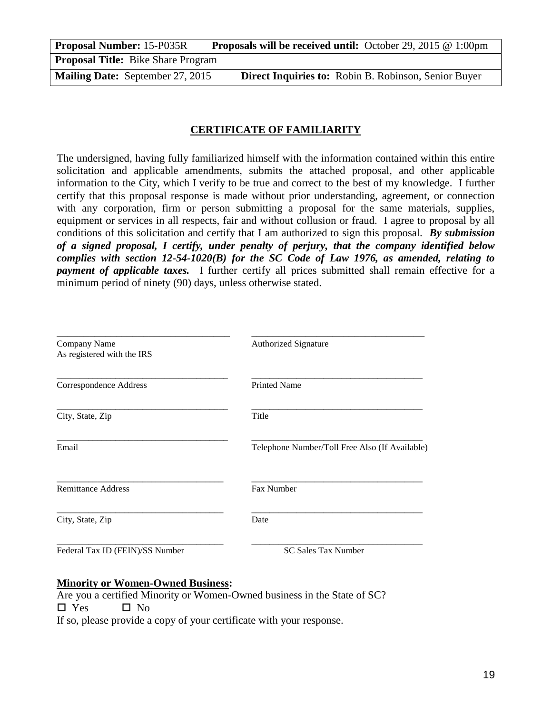**Proposal Number:** 15-P035R Proposals will be received until: October 29, 2015 @ 1:00pm **Proposal Title:** Bike Share Program

**Mailing Date:** September 27, 2015 **Direct Inquiries to:** Robin B. Robinson, Senior Buyer

## **CERTIFICATE OF FAMILIARITY**

The undersigned, having fully familiarized himself with the information contained within this entire solicitation and applicable amendments, submits the attached proposal, and other applicable information to the City, which I verify to be true and correct to the best of my knowledge. I further certify that this proposal response is made without prior understanding, agreement, or connection with any corporation, firm or person submitting a proposal for the same materials, supplies, equipment or services in all respects, fair and without collusion or fraud. I agree to proposal by all conditions of this solicitation and certify that I am authorized to sign this proposal. *By submission of a signed proposal, I certify, under penalty of perjury, that the company identified below complies with section 12-54-1020(B) for the SC Code of Law 1976, as amended, relating to payment of applicable taxes.* I further certify all prices submitted shall remain effective for a minimum period of ninety (90) days, unless otherwise stated.

| Company Name<br>As registered with the IRS | <b>Authorized Signature</b>                    |
|--------------------------------------------|------------------------------------------------|
| Correspondence Address                     | <b>Printed Name</b>                            |
| City, State, Zip                           | Title                                          |
| Email                                      | Telephone Number/Toll Free Also (If Available) |
| <b>Remittance Address</b>                  | <b>Fax Number</b>                              |
| City, State, Zip                           | Date                                           |
| Federal Tax ID (FEIN)/SS Number            | <b>SC Sales Tax Number</b>                     |

#### **Minority or Women-Owned Business:**

Are you a certified Minority or Women-Owned business in the State of SC?  $\square$  Yes  $\square$  No If so, please provide a copy of your certificate with your response.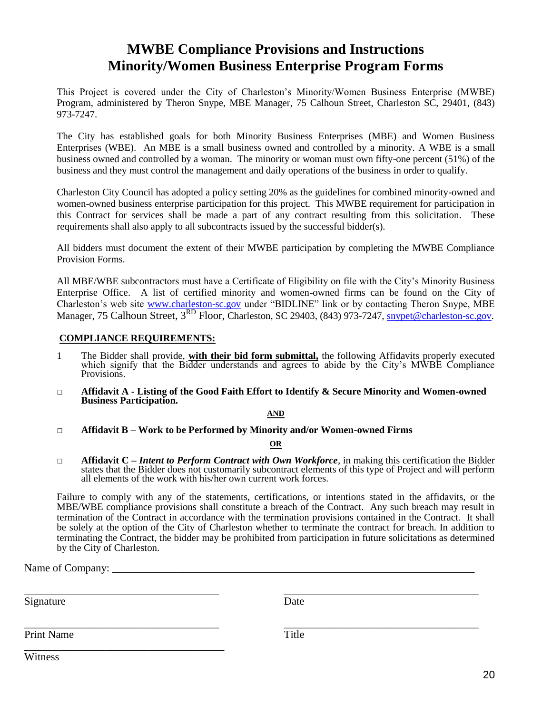# **MWBE Compliance Provisions and Instructions Minority/Women Business Enterprise Program Forms**

This Project is covered under the City of Charleston's Minority/Women Business Enterprise (MWBE) Program, administered by Theron Snype, MBE Manager, 75 Calhoun Street, Charleston SC, 29401, (843) 973-7247.

The City has established goals for both Minority Business Enterprises (MBE) and Women Business Enterprises (WBE). An MBE is a small business owned and controlled by a minority. A WBE is a small business owned and controlled by a woman. The minority or woman must own fifty-one percent (51%) of the business and they must control the management and daily operations of the business in order to qualify.

Charleston City Council has adopted a policy setting 20% as the guidelines for combined minority-owned and women-owned business enterprise participation for this project. This MWBE requirement for participation in this Contract for services shall be made a part of any contract resulting from this solicitation. These requirements shall also apply to all subcontracts issued by the successful bidder(s).

All bidders must document the extent of their MWBE participation by completing the MWBE Compliance Provision Forms.

All MBE/WBE subcontractors must have a Certificate of Eligibility on file with the City's Minority Business Enterprise Office. A list of certified minority and women-owned firms can be found on the City of Charleston's web site [www.charleston-sc.gov](http://www.charleston-sc.gov/) under "BIDLINE" link or by contacting Theron Snype, MBE Manager, 75 Calhoun Street, 3<sup>RD</sup> Floor, Charleston, SC 29403, (843) 973-7247, **snypet@charleston-sc.gov**.

#### **COMPLIANCE REQUIREMENTS:**

- 1 The Bidder shall provide, **with their bid form submittal,** the following Affidavits properly executed which signify that the Bidder understands and agrees to abide by the City's MWBE Compliance Provisions.
- **□ Affidavit A - Listing of the Good Faith Effort to Identify & Secure Minority and Women-owned Business Participation.**

#### **AND**

**□ Affidavit B – Work to be Performed by Minority and/or Women-owned Firms**

#### **OR**

**□ Affidavit C –** *Intent to Perform Contract with Own Workforce*, in making this certification the Bidder states that the Bidder does not customarily subcontract elements of this type of Project and will perform all elements of the work with his/her own current work forces.

Failure to comply with any of the statements, certifications, or intentions stated in the affidavits, or the MBE/WBE compliance provisions shall constitute a breach of the Contract. Any such breach may result in termination of the Contract in accordance with the termination provisions contained in the Contract. It shall be solely at the option of the City of Charleston whether to terminate the contract for breach. In addition to terminating the Contract, the bidder may be prohibited from participation in future solicitations as determined by the City of Charleston.

\_\_\_\_\_\_\_\_\_\_\_\_\_\_\_\_\_\_\_\_\_\_\_\_\_\_\_\_\_\_\_\_\_\_\_\_ \_\_\_\_\_\_\_\_\_\_\_\_\_\_\_\_\_\_\_\_\_\_\_\_\_\_\_\_\_\_\_\_\_\_\_\_

\_\_\_\_\_\_\_\_\_\_\_\_\_\_\_\_\_\_\_\_\_\_\_\_\_\_\_\_\_\_\_\_\_\_\_\_ \_\_\_\_\_\_\_\_\_\_\_\_\_\_\_\_\_\_\_\_\_\_\_\_\_\_\_\_\_\_\_\_\_\_\_\_

Name of Company:

Signature Date

Print Name Title

\_\_\_\_\_\_\_\_\_\_\_\_\_\_\_\_\_\_\_\_\_\_\_\_\_\_\_\_\_\_\_\_\_\_\_\_\_

**Witness**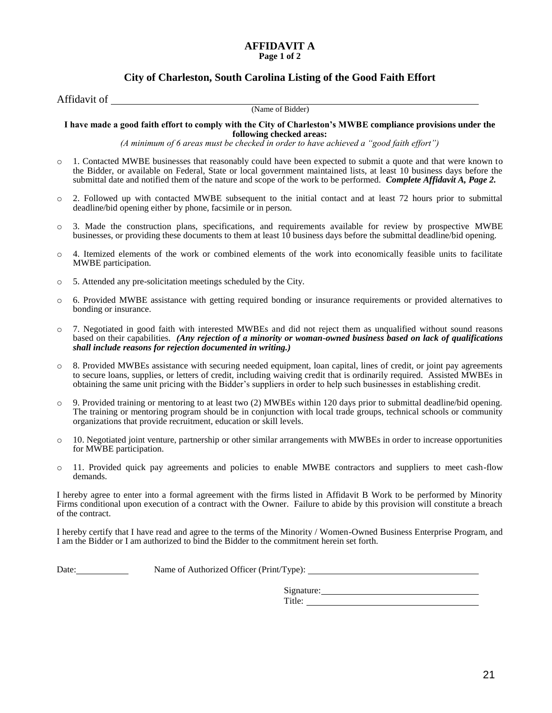#### **AFFIDAVIT A Page 1 of 2**

#### **City of Charleston, South Carolina Listing of the Good Faith Effort**

Affidavit of

(Name of Bidder)

**I have made a good faith effort to comply with the City of Charleston's MWBE compliance provisions under the following checked areas:**

*(A minimum of 6 areas must be checked in order to have achieved a "good faith effort")*

- o 1. Contacted MWBE businesses that reasonably could have been expected to submit a quote and that were known to the Bidder, or available on Federal, State or local government maintained lists, at least 10 business days before the submittal date and notified them of the nature and scope of the work to be performed. *Complete Affidavit A, Page 2.*
- o 2. Followed up with contacted MWBE subsequent to the initial contact and at least 72 hours prior to submittal deadline/bid opening either by phone, facsimile or in person.
- o 3. Made the construction plans, specifications, and requirements available for review by prospective MWBE businesses, or providing these documents to them at least 10 business days before the submittal deadline/bid opening.
- $\circ$  4. Itemized elements of the work or combined elements of the work into economically feasible units to facilitate MWBE participation.
- o 5. Attended any pre-solicitation meetings scheduled by the City.
- o 6. Provided MWBE assistance with getting required bonding or insurance requirements or provided alternatives to bonding or insurance.
- o 7. Negotiated in good faith with interested MWBEs and did not reject them as unqualified without sound reasons based on their capabilities. *(Any rejection of a minority or woman-owned business based on lack of qualifications shall include reasons for rejection documented in writing.)*
- o 8. Provided MWBEs assistance with securing needed equipment, loan capital, lines of credit, or joint pay agreements to secure loans, supplies, or letters of credit, including waiving credit that is ordinarily required. Assisted MWBEs in obtaining the same unit pricing with the Bidder's suppliers in order to help such businesses in establishing credit.
- o 9. Provided training or mentoring to at least two (2) MWBEs within 120 days prior to submittal deadline/bid opening. The training or mentoring program should be in conjunction with local trade groups, technical schools or community organizations that provide recruitment, education or skill levels.
- $\circ$  10. Negotiated joint venture, partnership or other similar arrangements with MWBEs in order to increase opportunities for MWBE participation.
- o 11. Provided quick pay agreements and policies to enable MWBE contractors and suppliers to meet cash-flow demands.

I hereby agree to enter into a formal agreement with the firms listed in Affidavit B Work to be performed by Minority Firms conditional upon execution of a contract with the Owner. Failure to abide by this provision will constitute a breach of the contract.

I hereby certify that I have read and agree to the terms of the Minority / Women-Owned Business Enterprise Program, and I am the Bidder or I am authorized to bind the Bidder to the commitment herein set forth.

Date: Name of Authorized Officer (Print/Type):

Signature:

Title: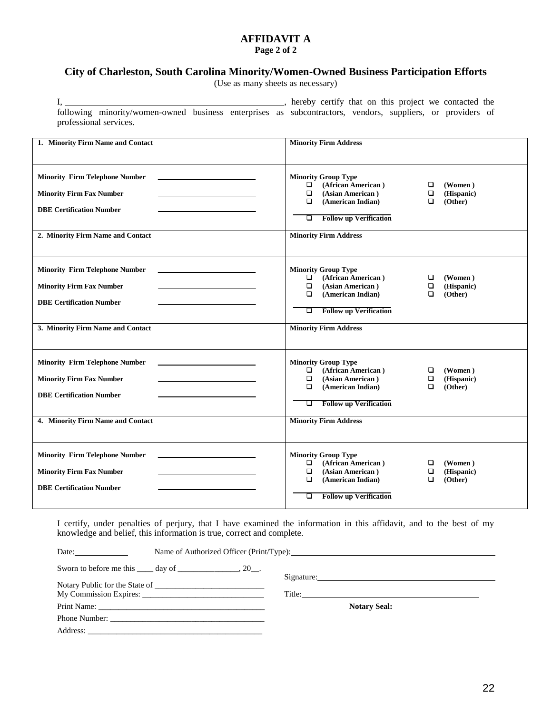#### **AFFIDAVIT A Page 2 of 2**

## **City of Charleston, South Carolina Minority/Women-Owned Business Participation Efforts**

(Use as many sheets as necessary)

| $\mathbf{I}_{\mathbf{A}}$ and $\mathbf{I}_{\mathbf{A}}$ and $\mathbf{I}_{\mathbf{A}}$ and $\mathbf{I}_{\mathbf{A}}$ and $\mathbf{I}_{\mathbf{A}}$ and $\mathbf{I}_{\mathbf{A}}$ and $\mathbf{I}_{\mathbf{A}}$ and $\mathbf{I}_{\mathbf{A}}$ and $\mathbf{I}_{\mathbf{A}}$ and $\mathbf{I}_{\mathbf{A}}$ and $\mathbf{I}_{\mathbf{A}}$ and $\mathbf{I}_{\mathbf{A$ |                                                       |  |  |
|-------------------------------------------------------------------------------------------------------------------------------------------------------------------------------------------------------------------------------------------------------------------------------------------------------------------------------------------------------------------|-------------------------------------------------------|--|--|
|                                                                                                                                                                                                                                                                                                                                                                   | following minority/women-owned business enterprises a |  |  |
|                                                                                                                                                                                                                                                                                                                                                                   | professional services.                                |  |  |

I, hereby certify that on this project we contacted the as subcontractors, vendors, suppliers, or providers of

| 1. Minority Firm Name and Contact                                                                                                                | <b>Minority Firm Address</b>                                                                                                                                                                                                                               |
|--------------------------------------------------------------------------------------------------------------------------------------------------|------------------------------------------------------------------------------------------------------------------------------------------------------------------------------------------------------------------------------------------------------------|
| <b>Minority Firm Telephone Number</b><br><b>Minority Firm Fax Number</b><br><b>DBE Certification Number</b><br>2. Minority Firm Name and Contact | <b>Minority Group Type</b><br>(African American)<br>$\Box$<br>□<br>(Women)<br>(Asian American)<br>$\Box$<br>$\Box$<br>(Hispanic)<br>(Other)<br>(American Indian)<br>$\Box$<br>▫<br><b>Follow up Verification</b><br>o<br><b>Minority Firm Address</b>      |
| <b>Minority Firm Telephone Number</b><br><b>Minority Firm Fax Number</b><br><b>DBE Certification Number</b><br>3. Minority Firm Name and Contact | <b>Minority Group Type</b><br>(African American)<br>▫<br>$\Box$<br>(Women)<br>(Asian American)<br>$\Box$<br>(Hispanic)<br>◘<br>$\Box$<br>$\Box$<br>(American Indian)<br>(Other)<br><b>Follow up Verification</b><br>□<br><b>Minority Firm Address</b>      |
| <b>Minority Firm Telephone Number</b><br><b>Minority Firm Fax Number</b><br><b>DBE Certification Number</b><br>4. Minority Firm Name and Contact | <b>Minority Group Type</b><br>(African American)<br>$\Box$<br>▫<br>(Women)<br>$\Box$<br>$\Box$<br>(Asian American)<br>(Hispanic)<br>$\Box$<br>(American Indian)<br>$\Box$<br>(Other)<br><b>Follow up Verification</b><br>□<br><b>Minority Firm Address</b> |
| <b>Minority Firm Telephone Number</b><br><b>Minority Firm Fax Number</b><br><b>DBE Certification Number</b>                                      | <b>Minority Group Type</b><br>(African American)<br>$\Box$<br>$\Box$<br>(Women)<br>(Asian American)<br>$\Box$<br>$\Box$<br>(Hispanic)<br>(American Indian)<br>(Other)<br>$\Box$<br>$\Box$<br><b>Follow up Verification</b><br>□                            |

I certify, under penalties of perjury, that I have examined the information in this affidavit, and to the best of my knowledge and belief, this information is true, correct and complete.

| Date: $\qquad \qquad$ |                                                                      |                     |  |
|-----------------------|----------------------------------------------------------------------|---------------------|--|
|                       | Sworn to before me this $\qquad \qquad$ day of $\qquad \qquad$ , 20. |                     |  |
|                       | Notary Public for the State of                                       |                     |  |
|                       |                                                                      |                     |  |
|                       |                                                                      | <b>Notary Seal:</b> |  |
|                       | Phone Number:                                                        |                     |  |
|                       |                                                                      |                     |  |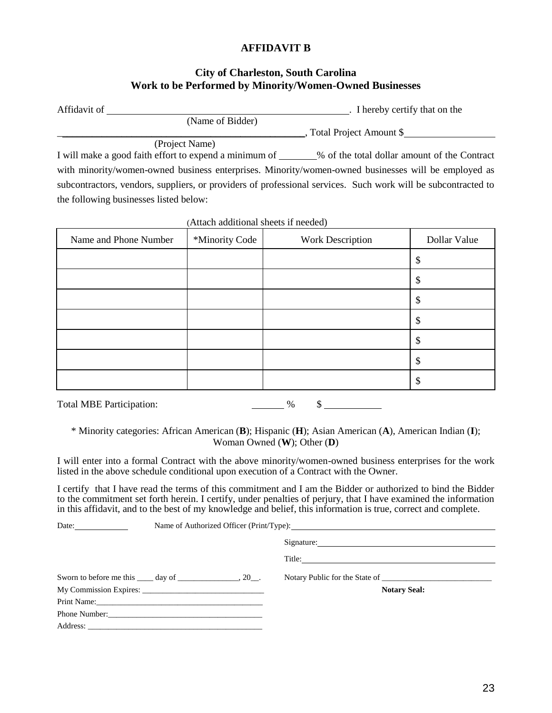## **AFFIDAVIT B**

## **City of Charleston, South Carolina Work to be Performed by Minority/Women-Owned Businesses**

| Affidavit of |                  | . I hereby certify that on the |
|--------------|------------------|--------------------------------|
|              | (Name of Bidder) |                                |
|              |                  | Total Project Amount \$        |
|              | (Project Name)   |                                |

I will make a good faith effort to expend a minimum of \_\_\_\_\_\_% of the total dollar amount of the Contract with minority/women-owned business enterprises. Minority/women-owned businesses will be employed as subcontractors, vendors, suppliers, or providers of professional services. Such work will be subcontracted to the following businesses listed below:

| Name and Phone Number | *Minority Code | Work Description | Dollar Value |
|-----------------------|----------------|------------------|--------------|
|                       |                |                  | \$           |
|                       |                |                  | \$           |
|                       |                |                  | \$           |
|                       |                |                  | \$           |
|                       |                |                  | \$           |
|                       |                |                  | \$           |
|                       |                |                  | \$           |

(Attach additional sheets if needed)

\* Minority categories: African American (**B**); Hispanic (**H**); Asian American (**A**), American Indian (**I**); Woman Owned (**W**); Other (**D**)

Total MBE Participation:  $\frac{96}{5}$  \$

I will enter into a formal Contract with the above minority/women-owned business enterprises for the work listed in the above schedule conditional upon execution of a Contract with the Owner.

I certify that I have read the terms of this commitment and I am the Bidder or authorized to bind the Bidder to the commitment set forth herein. I certify, under penalties of perjury, that I have examined the information in this affidavit, and to the best of my knowledge and belief, this information is true, correct and complete.

| Date: $\qquad \qquad$ | Name of Authorized Officer (Print/Type): 2008. The material contract of Authorized Officer (Print/Type): |                                |  |
|-----------------------|----------------------------------------------------------------------------------------------------------|--------------------------------|--|
|                       |                                                                                                          |                                |  |
|                       |                                                                                                          |                                |  |
|                       | Sworn to before me this $\qquad \qquad$ day of $\qquad \qquad$ , 20.                                     | Notary Public for the State of |  |
|                       |                                                                                                          | <b>Notary Seal:</b>            |  |
|                       |                                                                                                          |                                |  |
|                       | Phone Number:                                                                                            |                                |  |
|                       |                                                                                                          |                                |  |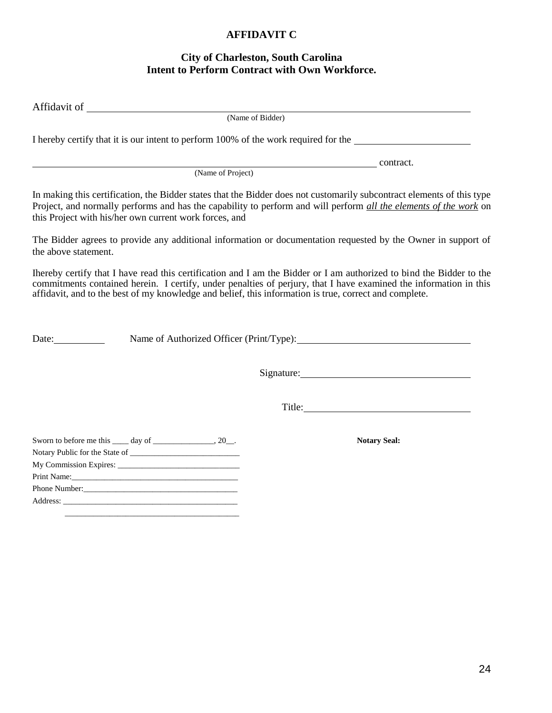## **AFFIDAVIT C**

## **City of Charleston, South Carolina Intent to Perform Contract with Own Workforce.**

| (Name of Bidder)                                                                                                                                                                                                                                                                                                                                    |
|-----------------------------------------------------------------------------------------------------------------------------------------------------------------------------------------------------------------------------------------------------------------------------------------------------------------------------------------------------|
| I hereby certify that it is our intent to perform 100% of the work required for the                                                                                                                                                                                                                                                                 |
| contract.<br>(Name of Project)                                                                                                                                                                                                                                                                                                                      |
| In making this certification, the Bidder states that the Bidder does not customarily subcontract elements of this type<br>Project, and normally performs and has the capability to perform and will perform all the elements of the work on<br>this Project with his/her own current work forces, and                                               |
| The Bidder agrees to provide any additional information or documentation requested by the Owner in support of<br>the above statement.                                                                                                                                                                                                               |
| Ihereby certify that I have read this certification and I am the Bidder or I am authorized to bind the Bidder to the<br>commitments contained herein. I certify, under penalties of perjury, that I have examined the information in this<br>affidavit, and to the best of my knowledge and belief, this information is true, correct and complete. |
| Date:                                                                                                                                                                                                                                                                                                                                               |
|                                                                                                                                                                                                                                                                                                                                                     |
| Title: Title:                                                                                                                                                                                                                                                                                                                                       |
| <b>Notary Seal:</b><br>Print Name:                                                                                                                                                                                                                                                                                                                  |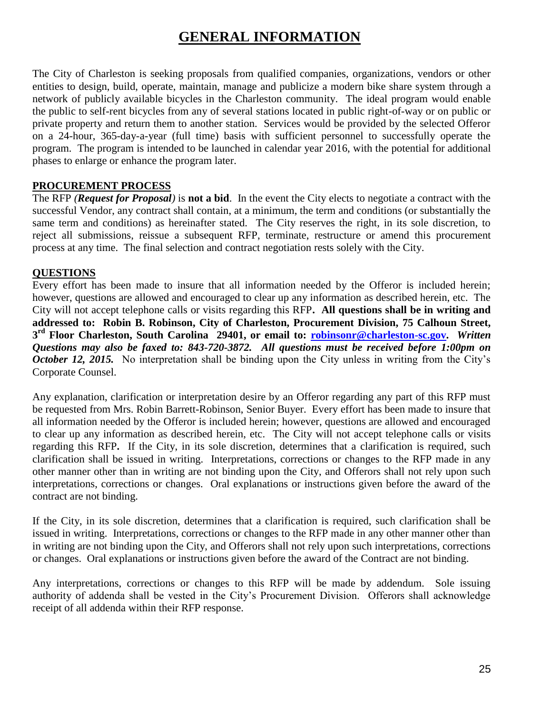# **GENERAL INFORMATION**

The City of Charleston is seeking proposals from qualified companies, organizations, vendors or other entities to design, build, operate, maintain, manage and publicize a modern bike share system through a network of publicly available bicycles in the Charleston community. The ideal program would enable the public to self-rent bicycles from any of several stations located in public right-of-way or on public or private property and return them to another station. Services would be provided by the selected Offeror on a 24-hour, 365-day-a-year (full time) basis with sufficient personnel to successfully operate the program. The program is intended to be launched in calendar year 2016, with the potential for additional phases to enlarge or enhance the program later.

## **PROCUREMENT PROCESS**

The RFP *(Request for Proposal)* is **not a bid**. In the event the City elects to negotiate a contract with the successful Vendor, any contract shall contain, at a minimum, the term and conditions (or substantially the same term and conditions) as hereinafter stated. The City reserves the right, in its sole discretion, to reject all submissions, reissue a subsequent RFP, terminate, restructure or amend this procurement process at any time. The final selection and contract negotiation rests solely with the City.

## **QUESTIONS**

Every effort has been made to insure that all information needed by the Offeror is included herein; however, questions are allowed and encouraged to clear up any information as described herein, etc. The City will not accept telephone calls or visits regarding this RFP**. All questions shall be in writing and addressed to: Robin B. Robinson, City of Charleston, Procurement Division, 75 Calhoun Street, 3 rd Floor Charleston, South Carolina 29401, or email to: [robinsonr@charleston-sc.gov.](mailto:robinsonr@charleston-sc.gov)** *Written Questions may also be faxed to: 843-720-3872. All questions must be received before 1:00pm on October 12, 2015.* No interpretation shall be binding upon the City unless in writing from the City's Corporate Counsel.

Any explanation, clarification or interpretation desire by an Offeror regarding any part of this RFP must be requested from Mrs. Robin Barrett-Robinson, Senior Buyer. Every effort has been made to insure that all information needed by the Offeror is included herein; however, questions are allowed and encouraged to clear up any information as described herein, etc. The City will not accept telephone calls or visits regarding this RFP**.** If the City, in its sole discretion, determines that a clarification is required, such clarification shall be issued in writing. Interpretations, corrections or changes to the RFP made in any other manner other than in writing are not binding upon the City, and Offerors shall not rely upon such interpretations, corrections or changes. Oral explanations or instructions given before the award of the contract are not binding.

If the City, in its sole discretion, determines that a clarification is required, such clarification shall be issued in writing. Interpretations, corrections or changes to the RFP made in any other manner other than in writing are not binding upon the City, and Offerors shall not rely upon such interpretations, corrections or changes. Oral explanations or instructions given before the award of the Contract are not binding.

Any interpretations, corrections or changes to this RFP will be made by addendum. Sole issuing authority of addenda shall be vested in the City's Procurement Division. Offerors shall acknowledge receipt of all addenda within their RFP response.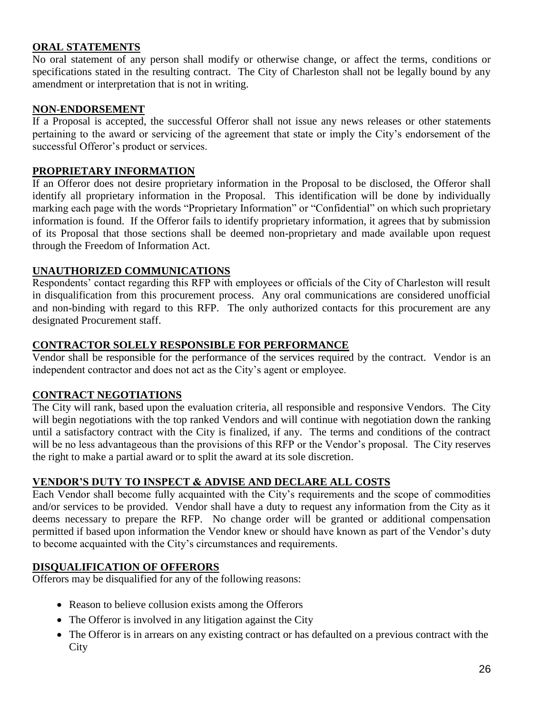## **ORAL STATEMENTS**

No oral statement of any person shall modify or otherwise change, or affect the terms, conditions or specifications stated in the resulting contract. The City of Charleston shall not be legally bound by any amendment or interpretation that is not in writing.

#### **NON-ENDORSEMENT**

If a Proposal is accepted, the successful Offeror shall not issue any news releases or other statements pertaining to the award or servicing of the agreement that state or imply the City's endorsement of the successful Offeror's product or services.

## **PROPRIETARY INFORMATION**

If an Offeror does not desire proprietary information in the Proposal to be disclosed, the Offeror shall identify all proprietary information in the Proposal. This identification will be done by individually marking each page with the words "Proprietary Information" or "Confidential" on which such proprietary information is found. If the Offeror fails to identify proprietary information, it agrees that by submission of its Proposal that those sections shall be deemed non-proprietary and made available upon request through the Freedom of Information Act.

## **UNAUTHORIZED COMMUNICATIONS**

Respondents' contact regarding this RFP with employees or officials of the City of Charleston will result in disqualification from this procurement process. Any oral communications are considered unofficial and non-binding with regard to this RFP. The only authorized contacts for this procurement are any designated Procurement staff.

#### **CONTRACTOR SOLELY RESPONSIBLE FOR PERFORMANCE**

Vendor shall be responsible for the performance of the services required by the contract. Vendor is an independent contractor and does not act as the City's agent or employee.

#### **CONTRACT NEGOTIATIONS**

The City will rank, based upon the evaluation criteria, all responsible and responsive Vendors. The City will begin negotiations with the top ranked Vendors and will continue with negotiation down the ranking until a satisfactory contract with the City is finalized, if any. The terms and conditions of the contract will be no less advantageous than the provisions of this RFP or the Vendor's proposal. The City reserves the right to make a partial award or to split the award at its sole discretion.

#### **VENDOR'S DUTY TO INSPECT & ADVISE AND DECLARE ALL COSTS**

Each Vendor shall become fully acquainted with the City's requirements and the scope of commodities and/or services to be provided. Vendor shall have a duty to request any information from the City as it deems necessary to prepare the RFP. No change order will be granted or additional compensation permitted if based upon information the Vendor knew or should have known as part of the Vendor's duty to become acquainted with the City's circumstances and requirements.

#### **DISQUALIFICATION OF OFFERORS**

Offerors may be disqualified for any of the following reasons:

- Reason to believe collusion exists among the Offerors
- The Offeror is involved in any litigation against the City
- The Offeror is in arrears on any existing contract or has defaulted on a previous contract with the **City**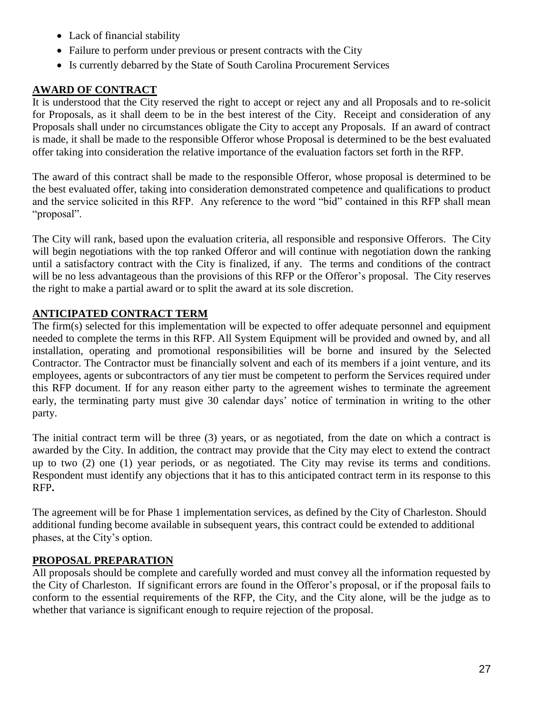- Lack of financial stability
- Failure to perform under previous or present contracts with the City
- Is currently debarred by the State of South Carolina Procurement Services

## **AWARD OF CONTRACT**

It is understood that the City reserved the right to accept or reject any and all Proposals and to re-solicit for Proposals, as it shall deem to be in the best interest of the City. Receipt and consideration of any Proposals shall under no circumstances obligate the City to accept any Proposals. If an award of contract is made, it shall be made to the responsible Offeror whose Proposal is determined to be the best evaluated offer taking into consideration the relative importance of the evaluation factors set forth in the RFP.

The award of this contract shall be made to the responsible Offeror, whose proposal is determined to be the best evaluated offer, taking into consideration demonstrated competence and qualifications to product and the service solicited in this RFP. Any reference to the word "bid" contained in this RFP shall mean "proposal".

The City will rank, based upon the evaluation criteria, all responsible and responsive Offerors. The City will begin negotiations with the top ranked Offeror and will continue with negotiation down the ranking until a satisfactory contract with the City is finalized, if any. The terms and conditions of the contract will be no less advantageous than the provisions of this RFP or the Offeror's proposal. The City reserves the right to make a partial award or to split the award at its sole discretion.

## **ANTICIPATED CONTRACT TERM**

The firm(s) selected for this implementation will be expected to offer adequate personnel and equipment needed to complete the terms in this RFP. All System Equipment will be provided and owned by, and all installation, operating and promotional responsibilities will be borne and insured by the Selected Contractor. The Contractor must be financially solvent and each of its members if a joint venture, and its employees, agents or subcontractors of any tier must be competent to perform the Services required under this RFP document. If for any reason either party to the agreement wishes to terminate the agreement early, the terminating party must give 30 calendar days' notice of termination in writing to the other party.

The initial contract term will be three (3) years, or as negotiated, from the date on which a contract is awarded by the City. In addition, the contract may provide that the City may elect to extend the contract up to two (2) one (1) year periods, or as negotiated. The City may revise its terms and conditions. Respondent must identify any objections that it has to this anticipated contract term in its response to this RFP**.** 

The agreement will be for Phase 1 implementation services, as defined by the City of Charleston. Should additional funding become available in subsequent years, this contract could be extended to additional phases, at the City's option.

## **PROPOSAL PREPARATION**

All proposals should be complete and carefully worded and must convey all the information requested by the City of Charleston. If significant errors are found in the Offeror's proposal, or if the proposal fails to conform to the essential requirements of the RFP, the City, and the City alone, will be the judge as to whether that variance is significant enough to require rejection of the proposal.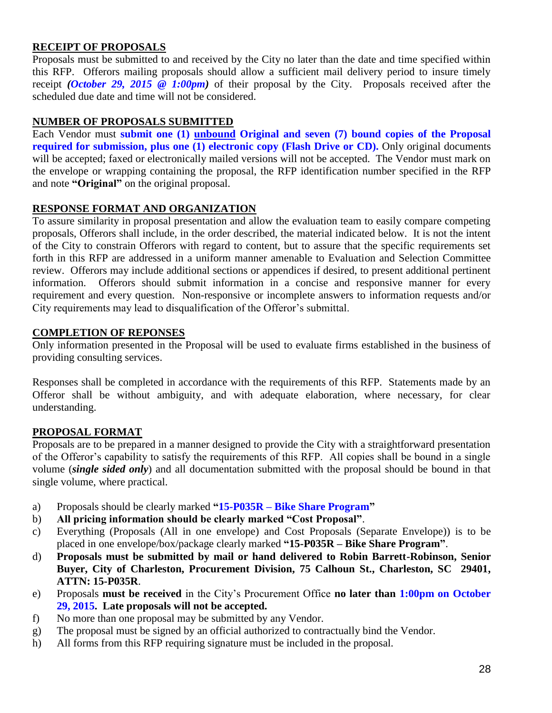## **RECEIPT OF PROPOSALS**

Proposals must be submitted to and received by the City no later than the date and time specified within this RFP. Offerors mailing proposals should allow a sufficient mail delivery period to insure timely receipt *(October 29, 2015 @ 1:00pm)* of their proposal by the City. Proposals received after the scheduled due date and time will not be considered.

## **NUMBER OF PROPOSALS SUBMITTED**

Each Vendor must **submit one (1) unbound Original and seven (7) bound copies of the Proposal required for submission, plus one (1) electronic copy (Flash Drive or CD).** Only original documents will be accepted; faxed or electronically mailed versions will not be accepted. The Vendor must mark on the envelope or wrapping containing the proposal, the RFP identification number specified in the RFP and note **"Original"** on the original proposal.

## **RESPONSE FORMAT AND ORGANIZATION**

To assure similarity in proposal presentation and allow the evaluation team to easily compare competing proposals, Offerors shall include, in the order described, the material indicated below. It is not the intent of the City to constrain Offerors with regard to content, but to assure that the specific requirements set forth in this RFP are addressed in a uniform manner amenable to Evaluation and Selection Committee review. Offerors may include additional sections or appendices if desired, to present additional pertinent information. Offerors should submit information in a concise and responsive manner for every requirement and every question. Non-responsive or incomplete answers to information requests and/or City requirements may lead to disqualification of the Offeror's submittal.

## **COMPLETION OF REPONSES**

Only information presented in the Proposal will be used to evaluate firms established in the business of providing consulting services.

Responses shall be completed in accordance with the requirements of this RFP. Statements made by an Offeror shall be without ambiguity, and with adequate elaboration, where necessary, for clear understanding.

## **PROPOSAL FORMAT**

Proposals are to be prepared in a manner designed to provide the City with a straightforward presentation of the Offeror's capability to satisfy the requirements of this RFP. All copies shall be bound in a single volume (*single sided only*) and all documentation submitted with the proposal should be bound in that single volume, where practical.

- a) Proposals should be clearly marked **"15-P035R – Bike Share Program"**
- b) **All pricing information should be clearly marked "Cost Proposal"**.
- c) Everything (Proposals (All in one envelope) and Cost Proposals (Separate Envelope)) is to be placed in one envelope/box/package clearly marked **"15-P035R – Bike Share Program"**.
- d) **Proposals must be submitted by mail or hand delivered to Robin Barrett-Robinson, Senior Buyer, City of Charleston, Procurement Division, 75 Calhoun St., Charleston, SC 29401, ATTN: 15-P035R**.
- e) Proposals **must be received** in the City's Procurement Office **no later than 1:00pm on October 29, 2015. Late proposals will not be accepted.**
- f) No more than one proposal may be submitted by any Vendor.
- g) The proposal must be signed by an official authorized to contractually bind the Vendor.
- h) All forms from this RFP requiring signature must be included in the proposal.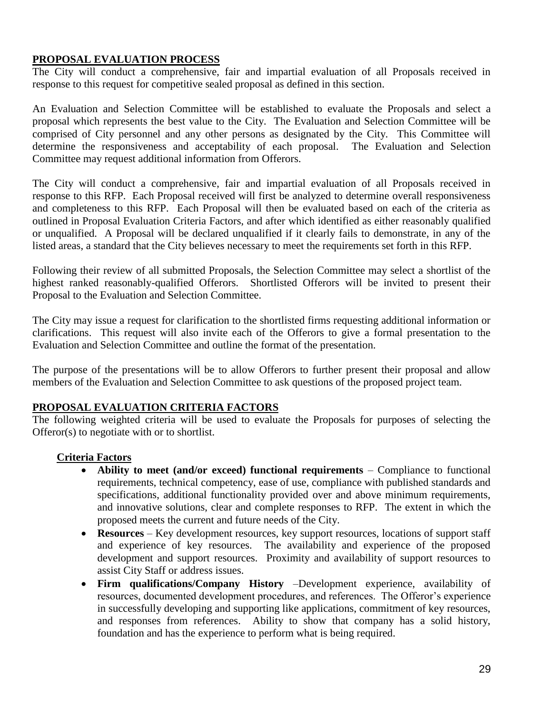## **PROPOSAL EVALUATION PROCESS**

The City will conduct a comprehensive, fair and impartial evaluation of all Proposals received in response to this request for competitive sealed proposal as defined in this section.

An Evaluation and Selection Committee will be established to evaluate the Proposals and select a proposal which represents the best value to the City. The Evaluation and Selection Committee will be comprised of City personnel and any other persons as designated by the City. This Committee will determine the responsiveness and acceptability of each proposal. The Evaluation and Selection Committee may request additional information from Offerors.

The City will conduct a comprehensive, fair and impartial evaluation of all Proposals received in response to this RFP. Each Proposal received will first be analyzed to determine overall responsiveness and completeness to this RFP. Each Proposal will then be evaluated based on each of the criteria as outlined in Proposal Evaluation Criteria Factors, and after which identified as either reasonably qualified or unqualified. A Proposal will be declared unqualified if it clearly fails to demonstrate, in any of the listed areas, a standard that the City believes necessary to meet the requirements set forth in this RFP.

Following their review of all submitted Proposals, the Selection Committee may select a shortlist of the highest ranked reasonably-qualified Offerors. Shortlisted Offerors will be invited to present their Proposal to the Evaluation and Selection Committee.

The City may issue a request for clarification to the shortlisted firms requesting additional information or clarifications. This request will also invite each of the Offerors to give a formal presentation to the Evaluation and Selection Committee and outline the format of the presentation.

The purpose of the presentations will be to allow Offerors to further present their proposal and allow members of the Evaluation and Selection Committee to ask questions of the proposed project team.

## **PROPOSAL EVALUATION CRITERIA FACTORS**

The following weighted criteria will be used to evaluate the Proposals for purposes of selecting the Offeror(s) to negotiate with or to shortlist.

## **Criteria Factors**

- **Ability to meet (and/or exceed) functional requirements**  Compliance to functional requirements, technical competency, ease of use, compliance with published standards and specifications, additional functionality provided over and above minimum requirements, and innovative solutions, clear and complete responses to RFP. The extent in which the proposed meets the current and future needs of the City.
- **Resources**  Key development resources, key support resources, locations of support staff and experience of key resources. The availability and experience of the proposed development and support resources. Proximity and availability of support resources to assist City Staff or address issues.
- **Firm qualifications/Company History** –Development experience, availability of resources, documented development procedures, and references. The Offeror's experience in successfully developing and supporting like applications, commitment of key resources, and responses from references. Ability to show that company has a solid history, foundation and has the experience to perform what is being required.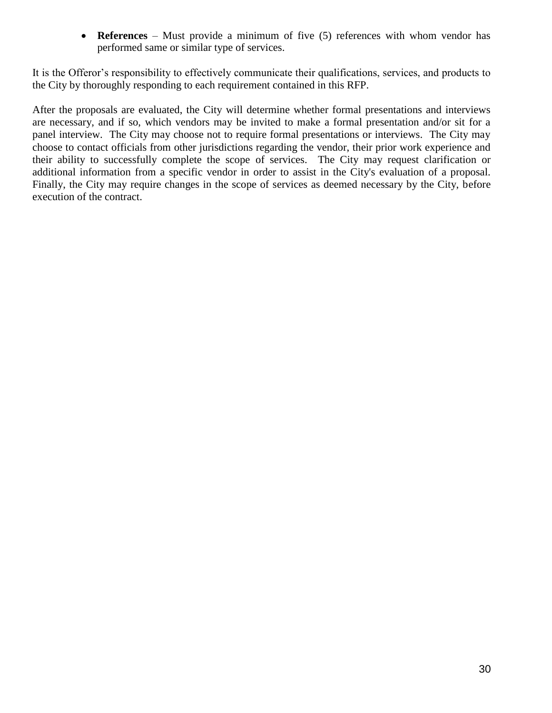**References** – Must provide a minimum of five (5) references with whom vendor has performed same or similar type of services.

It is the Offeror's responsibility to effectively communicate their qualifications, services, and products to the City by thoroughly responding to each requirement contained in this RFP.

After the proposals are evaluated, the City will determine whether formal presentations and interviews are necessary, and if so, which vendors may be invited to make a formal presentation and/or sit for a panel interview. The City may choose not to require formal presentations or interviews. The City may choose to contact officials from other jurisdictions regarding the vendor, their prior work experience and their ability to successfully complete the scope of services. The City may request clarification or additional information from a specific vendor in order to assist in the City's evaluation of a proposal. Finally, the City may require changes in the scope of services as deemed necessary by the City, before execution of the contract.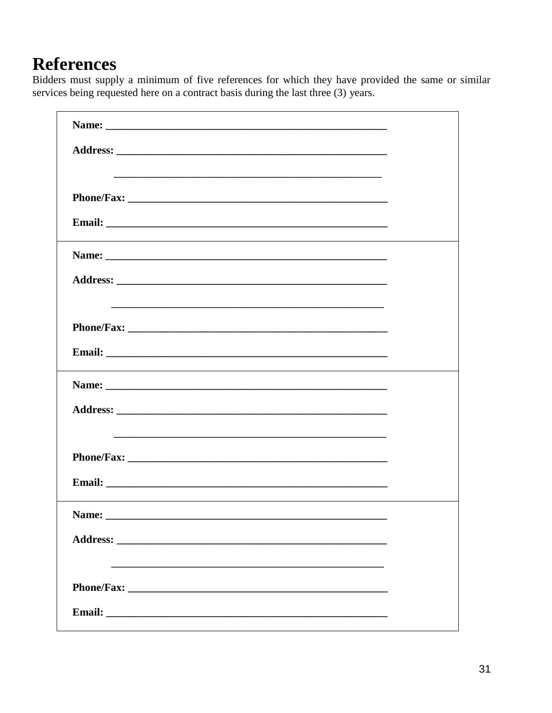# **References**

Bidders must supply a minimum of five references for which they have provided the same or similar services being requested here on a contract basis during the last three (3) years.

| Name:                                                                                                                                                                                                                                |  |
|--------------------------------------------------------------------------------------------------------------------------------------------------------------------------------------------------------------------------------------|--|
|                                                                                                                                                                                                                                      |  |
|                                                                                                                                                                                                                                      |  |
|                                                                                                                                                                                                                                      |  |
| Email: <u>Department of the contract of the contract of the contract of the contract of the contract of the contract of the contract of the contract of the contract of the contract of the contract of the contract of the cont</u> |  |
|                                                                                                                                                                                                                                      |  |
|                                                                                                                                                                                                                                      |  |
|                                                                                                                                                                                                                                      |  |
|                                                                                                                                                                                                                                      |  |
|                                                                                                                                                                                                                                      |  |
|                                                                                                                                                                                                                                      |  |
|                                                                                                                                                                                                                                      |  |
|                                                                                                                                                                                                                                      |  |
|                                                                                                                                                                                                                                      |  |
|                                                                                                                                                                                                                                      |  |
|                                                                                                                                                                                                                                      |  |
| Name:                                                                                                                                                                                                                                |  |
|                                                                                                                                                                                                                                      |  |
|                                                                                                                                                                                                                                      |  |
|                                                                                                                                                                                                                                      |  |
|                                                                                                                                                                                                                                      |  |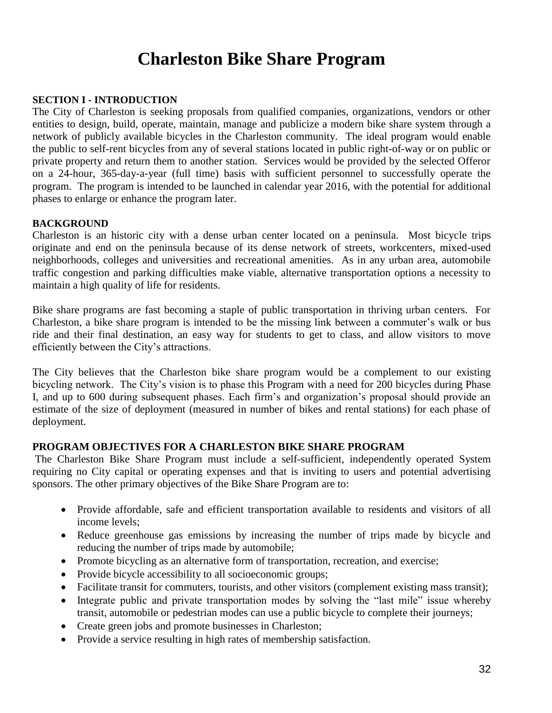# **Charleston Bike Share Program**

#### **SECTION I - INTRODUCTION**

The City of Charleston is seeking proposals from qualified companies, organizations, vendors or other entities to design, build, operate, maintain, manage and publicize a modern bike share system through a network of publicly available bicycles in the Charleston community. The ideal program would enable the public to self-rent bicycles from any of several stations located in public right-of-way or on public or private property and return them to another station. Services would be provided by the selected Offeror on a 24-hour, 365-day-a-year (full time) basis with sufficient personnel to successfully operate the program. The program is intended to be launched in calendar year 2016, with the potential for additional phases to enlarge or enhance the program later.

#### **BACKGROUND**

Charleston is an historic city with a dense urban center located on a peninsula. Most bicycle trips originate and end on the peninsula because of its dense network of streets, workcenters, mixed-used neighborhoods, colleges and universities and recreational amenities. As in any urban area, automobile traffic congestion and parking difficulties make viable, alternative transportation options a necessity to maintain a high quality of life for residents.

Bike share programs are fast becoming a staple of public transportation in thriving urban centers. For Charleston, a bike share program is intended to be the missing link between a commuter's walk or bus ride and their final destination, an easy way for students to get to class, and allow visitors to move efficiently between the City's attractions.

The City believes that the Charleston bike share program would be a complement to our existing bicycling network. The City's vision is to phase this Program with a need for 200 bicycles during Phase I, and up to 600 during subsequent phases. Each firm's and organization's proposal should provide an estimate of the size of deployment (measured in number of bikes and rental stations) for each phase of deployment.

#### **PROGRAM OBJECTIVES FOR A CHARLESTON BIKE SHARE PROGRAM**

The Charleston Bike Share Program must include a self-sufficient, independently operated System requiring no City capital or operating expenses and that is inviting to users and potential advertising sponsors. The other primary objectives of the Bike Share Program are to:

- Provide affordable, safe and efficient transportation available to residents and visitors of all income levels;
- Reduce greenhouse gas emissions by increasing the number of trips made by bicycle and reducing the number of trips made by automobile;
- Promote bicycling as an alternative form of transportation, recreation, and exercise;
- Provide bicycle accessibility to all socioeconomic groups;
- Facilitate transit for commuters, tourists, and other visitors (complement existing mass transit);
- Integrate public and private transportation modes by solving the "last mile" issue whereby transit, automobile or pedestrian modes can use a public bicycle to complete their journeys;
- Create green jobs and promote businesses in Charleston;
- Provide a service resulting in high rates of membership satisfaction.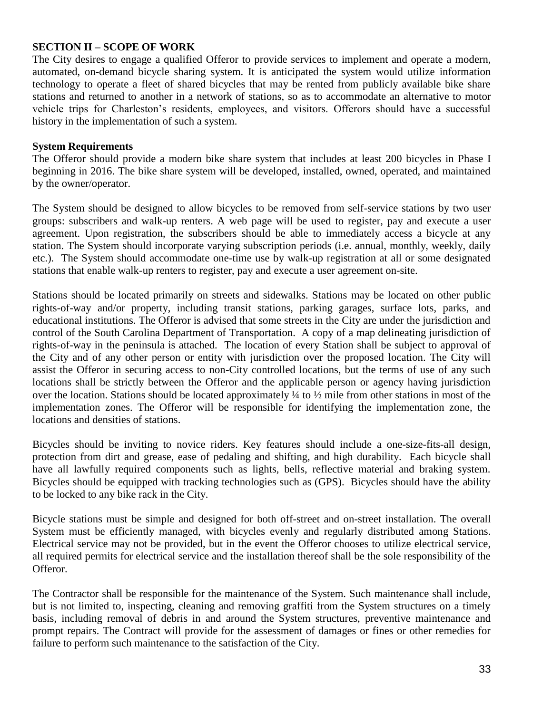## **SECTION II – SCOPE OF WORK**

The City desires to engage a qualified Offeror to provide services to implement and operate a modern, automated, on-demand bicycle sharing system. It is anticipated the system would utilize information technology to operate a fleet of shared bicycles that may be rented from publicly available bike share stations and returned to another in a network of stations, so as to accommodate an alternative to motor vehicle trips for Charleston's residents, employees, and visitors. Offerors should have a successful history in the implementation of such a system.

#### **System Requirements**

The Offeror should provide a modern bike share system that includes at least 200 bicycles in Phase I beginning in 2016. The bike share system will be developed, installed, owned, operated, and maintained by the owner/operator.

The System should be designed to allow bicycles to be removed from self-service stations by two user groups: subscribers and walk-up renters. A web page will be used to register, pay and execute a user agreement. Upon registration, the subscribers should be able to immediately access a bicycle at any station. The System should incorporate varying subscription periods (i.e. annual, monthly, weekly, daily etc.). The System should accommodate one-time use by walk-up registration at all or some designated stations that enable walk-up renters to register, pay and execute a user agreement on-site.

Stations should be located primarily on streets and sidewalks. Stations may be located on other public rights-of-way and/or property, including transit stations, parking garages, surface lots, parks, and educational institutions. The Offeror is advised that some streets in the City are under the jurisdiction and control of the South Carolina Department of Transportation. A copy of a map delineating jurisdiction of rights-of-way in the peninsula is attached. The location of every Station shall be subject to approval of the City and of any other person or entity with jurisdiction over the proposed location. The City will assist the Offeror in securing access to non-City controlled locations, but the terms of use of any such locations shall be strictly between the Offeror and the applicable person or agency having jurisdiction over the location. Stations should be located approximately ¼ to ½ mile from other stations in most of the implementation zones. The Offeror will be responsible for identifying the implementation zone, the locations and densities of stations.

Bicycles should be inviting to novice riders. Key features should include a one-size-fits-all design, protection from dirt and grease, ease of pedaling and shifting, and high durability. Each bicycle shall have all lawfully required components such as lights, bells, reflective material and braking system. Bicycles should be equipped with tracking technologies such as (GPS). Bicycles should have the ability to be locked to any bike rack in the City.

Bicycle stations must be simple and designed for both off-street and on-street installation. The overall System must be efficiently managed, with bicycles evenly and regularly distributed among Stations. Electrical service may not be provided, but in the event the Offeror chooses to utilize electrical service, all required permits for electrical service and the installation thereof shall be the sole responsibility of the Offeror.

The Contractor shall be responsible for the maintenance of the System. Such maintenance shall include, but is not limited to, inspecting, cleaning and removing graffiti from the System structures on a timely basis, including removal of debris in and around the System structures, preventive maintenance and prompt repairs. The Contract will provide for the assessment of damages or fines or other remedies for failure to perform such maintenance to the satisfaction of the City.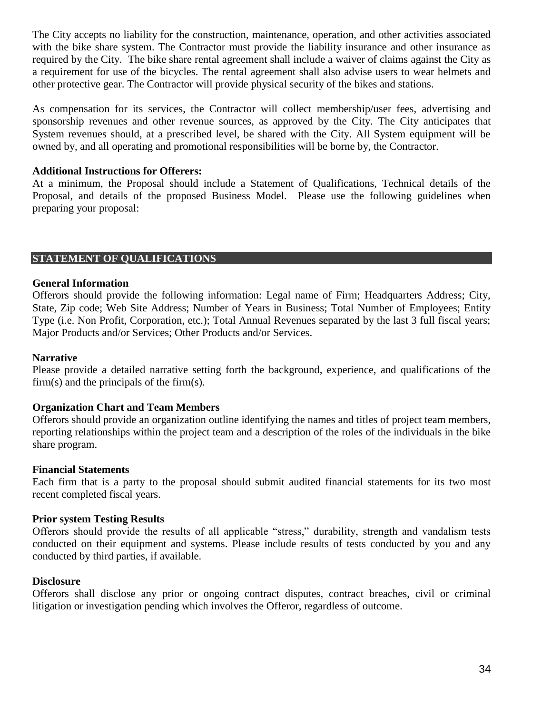The City accepts no liability for the construction, maintenance, operation, and other activities associated with the bike share system. The Contractor must provide the liability insurance and other insurance as required by the City. The bike share rental agreement shall include a waiver of claims against the City as a requirement for use of the bicycles. The rental agreement shall also advise users to wear helmets and other protective gear. The Contractor will provide physical security of the bikes and stations.

As compensation for its services, the Contractor will collect membership/user fees, advertising and sponsorship revenues and other revenue sources, as approved by the City. The City anticipates that System revenues should, at a prescribed level, be shared with the City. All System equipment will be owned by, and all operating and promotional responsibilities will be borne by, the Contractor.

#### **Additional Instructions for Offerers:**

At a minimum, the Proposal should include a Statement of Qualifications, Technical details of the Proposal, and details of the proposed Business Model. Please use the following guidelines when preparing your proposal:

#### **STATEMENT OF QUALIFICATIONS**

#### **General Information**

Offerors should provide the following information: Legal name of Firm; Headquarters Address; City, State, Zip code; Web Site Address; Number of Years in Business; Total Number of Employees; Entity Type (i.e. Non Profit, Corporation, etc.); Total Annual Revenues separated by the last 3 full fiscal years; Major Products and/or Services; Other Products and/or Services.

#### **Narrative**

Please provide a detailed narrative setting forth the background, experience, and qualifications of the firm(s) and the principals of the firm(s).

#### **Organization Chart and Team Members**

Offerors should provide an organization outline identifying the names and titles of project team members, reporting relationships within the project team and a description of the roles of the individuals in the bike share program.

#### **Financial Statements**

Each firm that is a party to the proposal should submit audited financial statements for its two most recent completed fiscal years.

#### **Prior system Testing Results**

Offerors should provide the results of all applicable "stress," durability, strength and vandalism tests conducted on their equipment and systems. Please include results of tests conducted by you and any conducted by third parties, if available.

#### **Disclosure**

Offerors shall disclose any prior or ongoing contract disputes, contract breaches, civil or criminal litigation or investigation pending which involves the Offeror, regardless of outcome.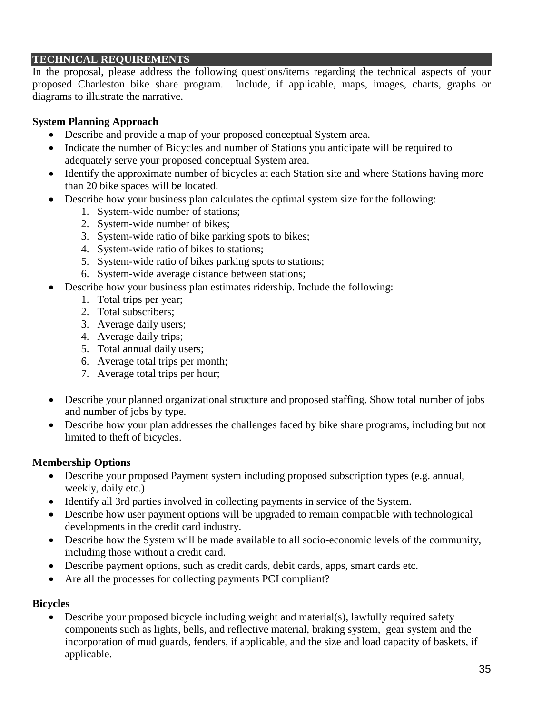## **TECHNICAL REQUIREMENTS**

In the proposal, please address the following questions/items regarding the technical aspects of your proposed Charleston bike share program. Include, if applicable, maps, images, charts, graphs or diagrams to illustrate the narrative.

## **System Planning Approach**

- Describe and provide a map of your proposed conceptual System area.
- Indicate the number of Bicycles and number of Stations you anticipate will be required to adequately serve your proposed conceptual System area.
- Identify the approximate number of bicycles at each Station site and where Stations having more than 20 bike spaces will be located.
- Describe how your business plan calculates the optimal system size for the following:
	- 1. System-wide number of stations;
	- 2. System-wide number of bikes;
	- 3. System-wide ratio of bike parking spots to bikes;
	- 4. System-wide ratio of bikes to stations;
	- 5. System-wide ratio of bikes parking spots to stations;
	- 6. System-wide average distance between stations;
- Describe how your business plan estimates ridership. Include the following:
	- 1. Total trips per year;
	- 2. Total subscribers;
	- 3. Average daily users;
	- 4. Average daily trips;
	- 5. Total annual daily users;
	- 6. Average total trips per month;
	- 7. Average total trips per hour;
- Describe your planned organizational structure and proposed staffing. Show total number of jobs and number of jobs by type.
- Describe how your plan addresses the challenges faced by bike share programs, including but not limited to theft of bicycles.

## **Membership Options**

- Describe your proposed Payment system including proposed subscription types (e.g. annual, weekly, daily etc.)
- Identify all 3rd parties involved in collecting payments in service of the System.
- Describe how user payment options will be upgraded to remain compatible with technological developments in the credit card industry.
- Describe how the System will be made available to all socio-economic levels of the community, including those without a credit card.
- Describe payment options, such as credit cards, debit cards, apps, smart cards etc.
- Are all the processes for collecting payments PCI compliant?

## **Bicycles**

 Describe your proposed bicycle including weight and material(s), lawfully required safety components such as lights, bells, and reflective material, braking system, gear system and the incorporation of mud guards, fenders, if applicable, and the size and load capacity of baskets, if applicable.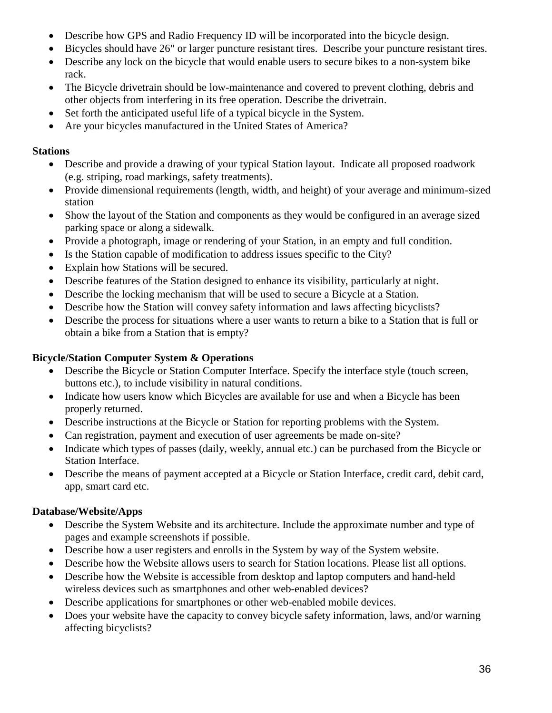- Describe how GPS and Radio Frequency ID will be incorporated into the bicycle design.
- Bicycles should have 26" or larger puncture resistant tires. Describe your puncture resistant tires.
- Describe any lock on the bicycle that would enable users to secure bikes to a non-system bike rack.
- The Bicycle drivetrain should be low-maintenance and covered to prevent clothing, debris and other objects from interfering in its free operation. Describe the drivetrain.
- Set forth the anticipated useful life of a typical bicycle in the System.
- Are your bicycles manufactured in the United States of America?

## **Stations**

- Describe and provide a drawing of your typical Station layout. Indicate all proposed roadwork (e.g. striping, road markings, safety treatments).
- Provide dimensional requirements (length, width, and height) of your average and minimum-sized station
- Show the layout of the Station and components as they would be configured in an average sized parking space or along a sidewalk.
- Provide a photograph, image or rendering of your Station, in an empty and full condition.
- Is the Station capable of modification to address issues specific to the City?
- Explain how Stations will be secured.
- Describe features of the Station designed to enhance its visibility, particularly at night.
- Describe the locking mechanism that will be used to secure a Bicycle at a Station.
- Describe how the Station will convey safety information and laws affecting bicyclists?
- Describe the process for situations where a user wants to return a bike to a Station that is full or obtain a bike from a Station that is empty?

## **Bicycle/Station Computer System & Operations**

- Describe the Bicycle or Station Computer Interface. Specify the interface style (touch screen, buttons etc.), to include visibility in natural conditions.
- Indicate how users know which Bicycles are available for use and when a Bicycle has been properly returned.
- Describe instructions at the Bicycle or Station for reporting problems with the System.
- Can registration, payment and execution of user agreements be made on-site?
- Indicate which types of passes (daily, weekly, annual etc.) can be purchased from the Bicycle or Station Interface.
- Describe the means of payment accepted at a Bicycle or Station Interface, credit card, debit card, app, smart card etc.

## **Database/Website/Apps**

- Describe the System Website and its architecture. Include the approximate number and type of pages and example screenshots if possible.
- Describe how a user registers and enrolls in the System by way of the System website.
- Describe how the Website allows users to search for Station locations. Please list all options.
- Describe how the Website is accessible from desktop and laptop computers and hand-held wireless devices such as smartphones and other web-enabled devices?
- Describe applications for smartphones or other web-enabled mobile devices.
- Does your website have the capacity to convey bicycle safety information, laws, and/or warning affecting bicyclists?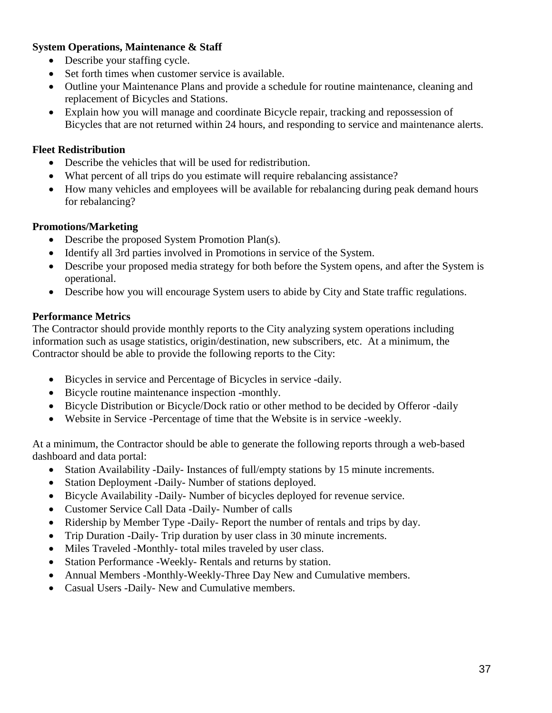## **System Operations, Maintenance & Staff**

- Describe your staffing cycle.
- Set forth times when customer service is available.
- Outline your Maintenance Plans and provide a schedule for routine maintenance, cleaning and replacement of Bicycles and Stations.
- Explain how you will manage and coordinate Bicycle repair, tracking and repossession of Bicycles that are not returned within 24 hours, and responding to service and maintenance alerts.

## **Fleet Redistribution**

- Describe the vehicles that will be used for redistribution.
- What percent of all trips do you estimate will require rebalancing assistance?
- How many vehicles and employees will be available for rebalancing during peak demand hours for rebalancing?

## **Promotions/Marketing**

- Describe the proposed System Promotion Plan(s).
- Identify all 3rd parties involved in Promotions in service of the System.
- Describe your proposed media strategy for both before the System opens, and after the System is operational.
- Describe how you will encourage System users to abide by City and State traffic regulations.

## **Performance Metrics**

The Contractor should provide monthly reports to the City analyzing system operations including information such as usage statistics, origin/destination, new subscribers, etc. At a minimum, the Contractor should be able to provide the following reports to the City:

- Bicycles in service and Percentage of Bicycles in service -daily.
- Bicycle routine maintenance inspection -monthly.
- Bicycle Distribution or Bicycle/Dock ratio or other method to be decided by Offeror -daily
- Website in Service -Percentage of time that the Website is in service -weekly.

At a minimum, the Contractor should be able to generate the following reports through a web-based dashboard and data portal:

- Station Availability -Daily- Instances of full/empty stations by 15 minute increments.
- Station Deployment -Daily- Number of stations deployed.
- Bicycle Availability -Daily- Number of bicycles deployed for revenue service.
- Customer Service Call Data -Daily- Number of calls
- Ridership by Member Type -Daily- Report the number of rentals and trips by day.
- Trip Duration -Daily- Trip duration by user class in 30 minute increments.
- Miles Traveled -Monthly- total miles traveled by user class.
- Station Performance -Weekly- Rentals and returns by station.
- Annual Members -Monthly-Weekly-Three Day New and Cumulative members.
- Casual Users -Daily- New and Cumulative members.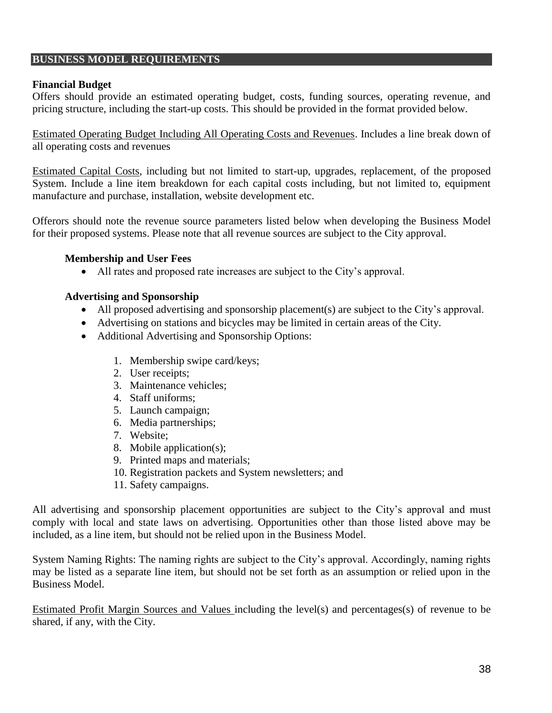## **BUSINESS MODEL REQUIREMENTS**

#### **Financial Budget**

Offers should provide an estimated operating budget, costs, funding sources, operating revenue, and pricing structure, including the start-up costs. This should be provided in the format provided below.

Estimated Operating Budget Including All Operating Costs and Revenues. Includes a line break down of all operating costs and revenues

Estimated Capital Costs, including but not limited to start-up, upgrades, replacement, of the proposed System. Include a line item breakdown for each capital costs including, but not limited to, equipment manufacture and purchase, installation, website development etc.

Offerors should note the revenue source parameters listed below when developing the Business Model for their proposed systems. Please note that all revenue sources are subject to the City approval.

#### **Membership and User Fees**

All rates and proposed rate increases are subject to the City's approval.

#### **Advertising and Sponsorship**

- All proposed advertising and sponsorship placement(s) are subject to the City's approval.
- Advertising on stations and bicycles may be limited in certain areas of the City.
- Additional Advertising and Sponsorship Options:
	- 1. Membership swipe card/keys;
	- 2. User receipts;
	- 3. Maintenance vehicles;
	- 4. Staff uniforms;
	- 5. Launch campaign;
	- 6. Media partnerships;
	- 7. Website;
	- 8. Mobile application(s);
	- 9. Printed maps and materials;
	- 10. Registration packets and System newsletters; and
	- 11. Safety campaigns.

All advertising and sponsorship placement opportunities are subject to the City's approval and must comply with local and state laws on advertising. Opportunities other than those listed above may be included, as a line item, but should not be relied upon in the Business Model.

System Naming Rights: The naming rights are subject to the City's approval. Accordingly, naming rights may be listed as a separate line item, but should not be set forth as an assumption or relied upon in the Business Model.

Estimated Profit Margin Sources and Values including the level(s) and percentages(s) of revenue to be shared, if any, with the City.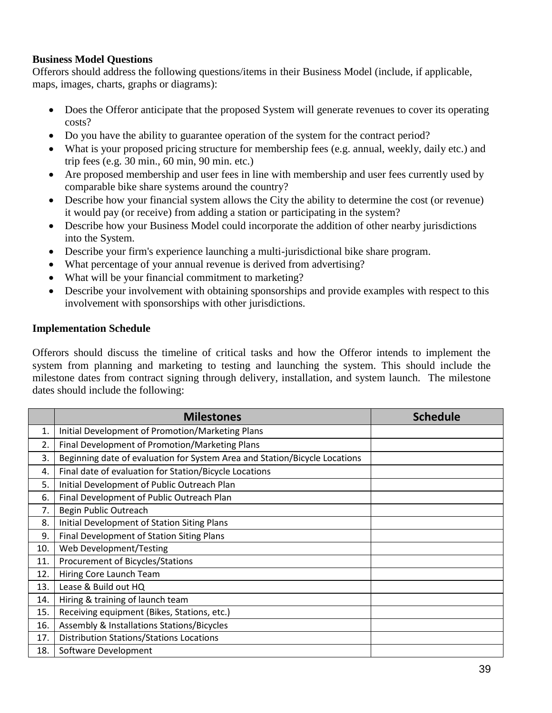## **Business Model Questions**

Offerors should address the following questions/items in their Business Model (include, if applicable, maps, images, charts, graphs or diagrams):

- Does the Offeror anticipate that the proposed System will generate revenues to cover its operating costs?
- Do you have the ability to guarantee operation of the system for the contract period?
- What is your proposed pricing structure for membership fees (e.g. annual, weekly, daily etc.) and trip fees (e.g. 30 min., 60 min, 90 min. etc.)
- Are proposed membership and user fees in line with membership and user fees currently used by comparable bike share systems around the country?
- Describe how your financial system allows the City the ability to determine the cost (or revenue) it would pay (or receive) from adding a station or participating in the system?
- Describe how your Business Model could incorporate the addition of other nearby jurisdictions into the System.
- Describe your firm's experience launching a multi-jurisdictional bike share program.
- What percentage of your annual revenue is derived from advertising?
- What will be your financial commitment to marketing?
- Describe your involvement with obtaining sponsorships and provide examples with respect to this involvement with sponsorships with other jurisdictions.

## **Implementation Schedule**

Offerors should discuss the timeline of critical tasks and how the Offeror intends to implement the system from planning and marketing to testing and launching the system. This should include the milestone dates from contract signing through delivery, installation, and system launch.The milestone dates should include the following:

|     | <b>Milestones</b>                                                          | <b>Schedule</b> |
|-----|----------------------------------------------------------------------------|-----------------|
| 1.  | Initial Development of Promotion/Marketing Plans                           |                 |
| 2.  | Final Development of Promotion/Marketing Plans                             |                 |
| 3.  | Beginning date of evaluation for System Area and Station/Bicycle Locations |                 |
| 4.  | Final date of evaluation for Station/Bicycle Locations                     |                 |
| 5.  | Initial Development of Public Outreach Plan                                |                 |
| 6.  | Final Development of Public Outreach Plan                                  |                 |
| 7.  | Begin Public Outreach                                                      |                 |
| 8.  | Initial Development of Station Siting Plans                                |                 |
| 9.  | Final Development of Station Siting Plans                                  |                 |
| 10. | Web Development/Testing                                                    |                 |
| 11. | Procurement of Bicycles/Stations                                           |                 |
| 12. | Hiring Core Launch Team                                                    |                 |
| 13. | Lease & Build out HQ                                                       |                 |
| 14. | Hiring & training of launch team                                           |                 |
| 15. | Receiving equipment (Bikes, Stations, etc.)                                |                 |
| 16. | Assembly & Installations Stations/Bicycles                                 |                 |
| 17. | <b>Distribution Stations/Stations Locations</b>                            |                 |
| 18. | Software Development                                                       |                 |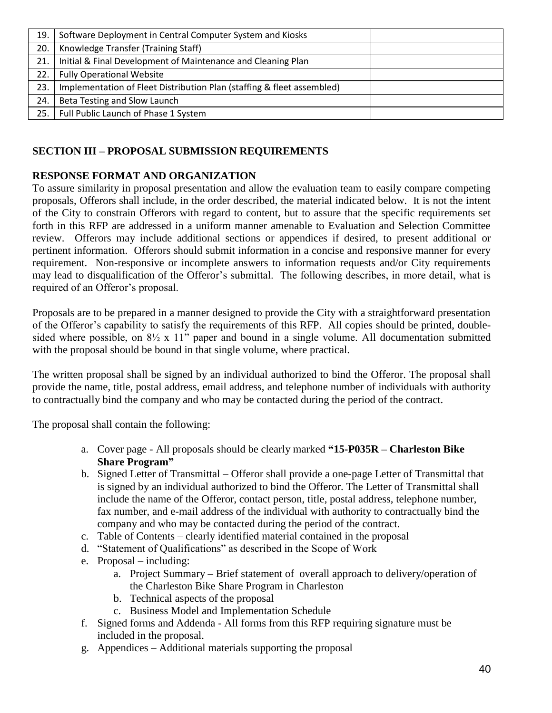| 19. | Software Deployment in Central Computer System and Kiosks              |  |
|-----|------------------------------------------------------------------------|--|
| 20. | Knowledge Transfer (Training Staff)                                    |  |
| 21. | Initial & Final Development of Maintenance and Cleaning Plan           |  |
| 22. | <b>Fully Operational Website</b>                                       |  |
| 23. | Implementation of Fleet Distribution Plan (staffing & fleet assembled) |  |
| 24. | Beta Testing and Slow Launch                                           |  |
| 25. | Full Public Launch of Phase 1 System                                   |  |
|     |                                                                        |  |

## **SECTION III – PROPOSAL SUBMISSION REQUIREMENTS**

## **RESPONSE FORMAT AND ORGANIZATION**

To assure similarity in proposal presentation and allow the evaluation team to easily compare competing proposals, Offerors shall include, in the order described, the material indicated below. It is not the intent of the City to constrain Offerors with regard to content, but to assure that the specific requirements set forth in this RFP are addressed in a uniform manner amenable to Evaluation and Selection Committee review. Offerors may include additional sections or appendices if desired, to present additional or pertinent information. Offerors should submit information in a concise and responsive manner for every requirement. Non-responsive or incomplete answers to information requests and/or City requirements may lead to disqualification of the Offeror's submittal. The following describes, in more detail, what is required of an Offeror's proposal.

Proposals are to be prepared in a manner designed to provide the City with a straightforward presentation of the Offeror's capability to satisfy the requirements of this RFP. All copies should be printed, doublesided where possible, on 8½ x 11" paper and bound in a single volume. All documentation submitted with the proposal should be bound in that single volume, where practical.

The written proposal shall be signed by an individual authorized to bind the Offeror. The proposal shall provide the name, title, postal address, email address, and telephone number of individuals with authority to contractually bind the company and who may be contacted during the period of the contract.

The proposal shall contain the following:

- a. Cover page All proposals should be clearly marked **"15-P035R – Charleston Bike Share Program"**
- b. Signed Letter of Transmittal Offeror shall provide a one-page Letter of Transmittal that is signed by an individual authorized to bind the Offeror. The Letter of Transmittal shall include the name of the Offeror, contact person, title, postal address, telephone number, fax number, and e-mail address of the individual with authority to contractually bind the company and who may be contacted during the period of the contract.
- c. Table of Contents clearly identified material contained in the proposal
- d. "Statement of Qualifications" as described in the Scope of Work
- e. Proposal including:
	- a. Project Summary Brief statement of overall approach to delivery/operation of the Charleston Bike Share Program in Charleston
	- b. Technical aspects of the proposal
	- c. Business Model and Implementation Schedule
- f. Signed forms and Addenda All forms from this RFP requiring signature must be included in the proposal.
- g. Appendices Additional materials supporting the proposal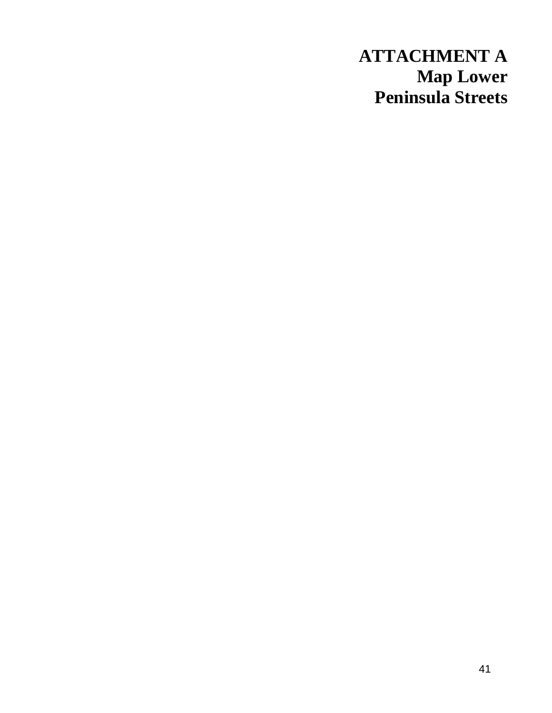# **ATTACHMENT A Map Lower Peninsula Streets**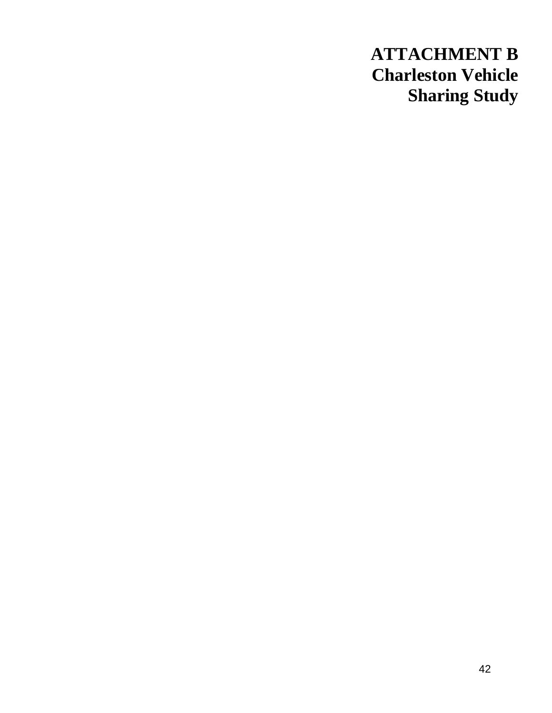# **ATTACHMENT B Charleston Vehicle Sharing Study**